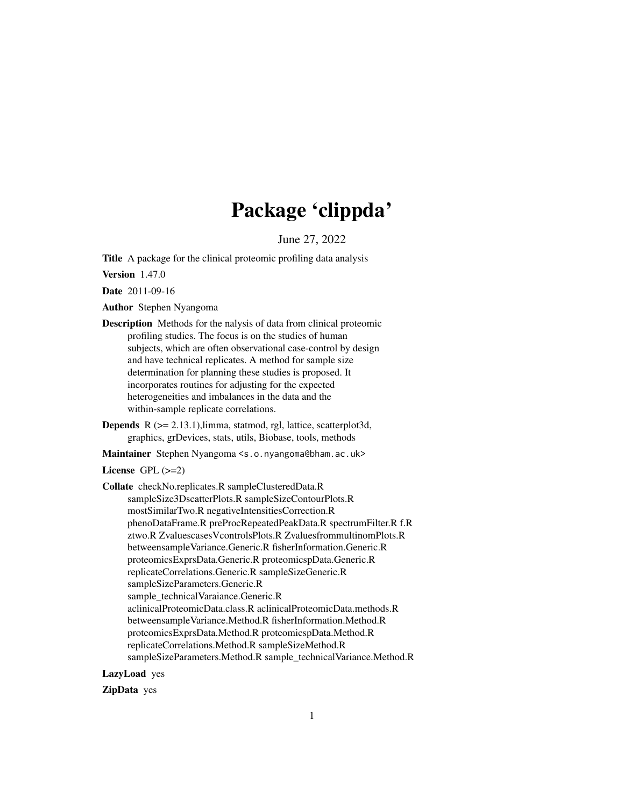## Package 'clippda'

June 27, 2022

Title A package for the clinical proteomic profiling data analysis

Version 1.47.0

Date 2011-09-16

Author Stephen Nyangoma

- Description Methods for the nalysis of data from clinical proteomic profiling studies. The focus is on the studies of human subjects, which are often observational case-control by design and have technical replicates. A method for sample size determination for planning these studies is proposed. It incorporates routines for adjusting for the expected heterogeneities and imbalances in the data and the within-sample replicate correlations.
- Depends R (>= 2.13.1),limma, statmod, rgl, lattice, scatterplot3d, graphics, grDevices, stats, utils, Biobase, tools, methods

Maintainer Stephen Nyangoma <s.o.nyangoma@bham.ac.uk>

License  $GPL$  ( $>=2$ )

Collate checkNo.replicates.R sampleClusteredData.R sampleSize3DscatterPlots.R sampleSizeContourPlots.R mostSimilarTwo.R negativeIntensitiesCorrection.R phenoDataFrame.R preProcRepeatedPeakData.R spectrumFilter.R f.R ztwo.R ZvaluescasesVcontrolsPlots.R ZvaluesfrommultinomPlots.R betweensampleVariance.Generic.R fisherInformation.Generic.R proteomicsExprsData.Generic.R proteomicspData.Generic.R replicateCorrelations.Generic.R sampleSizeGeneric.R sampleSizeParameters.Generic.R sample\_technicalVaraiance.Generic.R aclinicalProteomicData.class.R aclinicalProteomicData.methods.R betweensampleVariance.Method.R fisherInformation.Method.R proteomicsExprsData.Method.R proteomicspData.Method.R replicateCorrelations.Method.R sampleSizeMethod.R sampleSizeParameters.Method.R sample\_technicalVariance.Method.R

LazyLoad yes

ZipData yes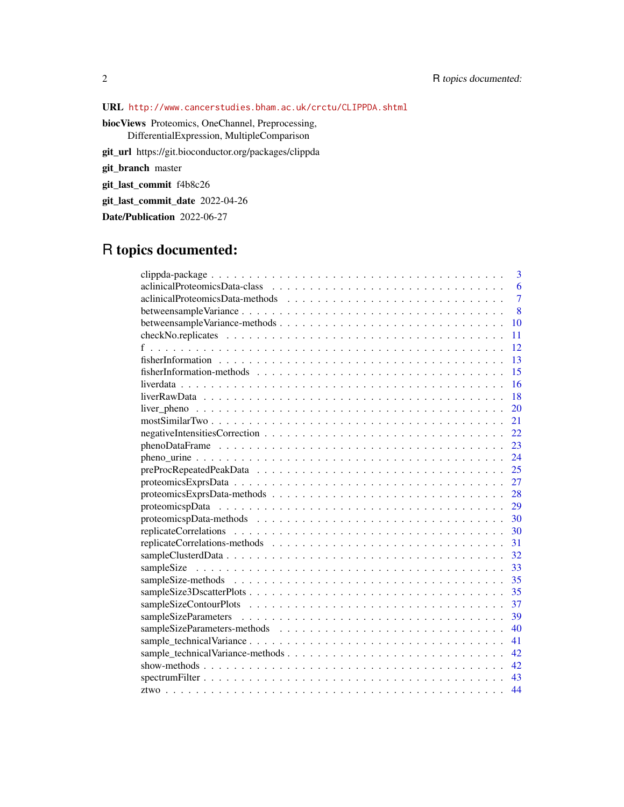URL <http://www.cancerstudies.bham.ac.uk/crctu/CLIPPDA.shtml>

biocViews Proteomics, OneChannel, Preprocessing,

DifferentialExpression, MultipleComparison

git\_url https://git.bioconductor.org/packages/clippda

git\_branch master

git\_last\_commit f4b8c26

git\_last\_commit\_date 2022-04-26

Date/Publication 2022-06-27

## R topics documented:

| 3                                      |
|----------------------------------------|
| 6                                      |
| $\overline{7}$                         |
| 8                                      |
| 10                                     |
| 11                                     |
| 12                                     |
| 13                                     |
| 15                                     |
| 16                                     |
| 18                                     |
| 20                                     |
| 21                                     |
| 22                                     |
| 23                                     |
| 24                                     |
| 25                                     |
| 27                                     |
| 28                                     |
| 29                                     |
| 30                                     |
| 30                                     |
| 31                                     |
| 32                                     |
| 33                                     |
| 35                                     |
| 35                                     |
| 37                                     |
| 39                                     |
| 40                                     |
| 41                                     |
| sample_technicalVariance-methods<br>42 |
| 42                                     |
| 43                                     |
| 44                                     |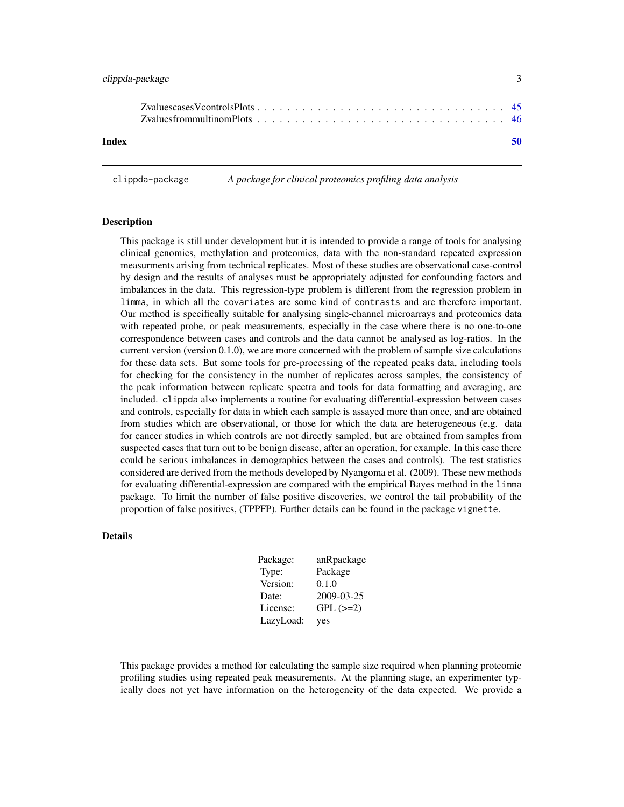<span id="page-2-0"></span>

|       | $Zv$ aluescases V controls Plots $\ldots$ , $\ldots$ , $\ldots$ , $\ldots$ , $\ldots$ , $\ldots$ , $\ldots$ , $\ldots$ , $\ldots$ , $\phantom{+}45$ |    |
|-------|-----------------------------------------------------------------------------------------------------------------------------------------------------|----|
| Index |                                                                                                                                                     | 50 |

clippda-package *A package for clinical proteomics profiling data analysis*

#### Description

This package is still under development but it is intended to provide a range of tools for analysing clinical genomics, methylation and proteomics, data with the non-standard repeated expression measurments arising from technical replicates. Most of these studies are observational case-control by design and the results of analyses must be appropriately adjusted for confounding factors and imbalances in the data. This regression-type problem is different from the regression problem in limma, in which all the covariates are some kind of contrasts and are therefore important. Our method is specifically suitable for analysing single-channel microarrays and proteomics data with repeated probe, or peak measurements, especially in the case where there is no one-to-one correspondence between cases and controls and the data cannot be analysed as log-ratios. In the current version (version 0.1.0), we are more concerned with the problem of sample size calculations for these data sets. But some tools for pre-processing of the repeated peaks data, including tools for checking for the consistency in the number of replicates across samples, the consistency of the peak information between replicate spectra and tools for data formatting and averaging, are included. clippda also implements a routine for evaluating differential-expression between cases and controls, especially for data in which each sample is assayed more than once, and are obtained from studies which are observational, or those for which the data are heterogeneous (e.g. data for cancer studies in which controls are not directly sampled, but are obtained from samples from suspected cases that turn out to be benign disease, after an operation, for example. In this case there could be serious imbalances in demographics between the cases and controls). The test statistics considered are derived from the methods developed by Nyangoma et al. (2009). These new methods for evaluating differential-expression are compared with the empirical Bayes method in the limma package. To limit the number of false positive discoveries, we control the tail probability of the proportion of false positives, (TPPFP). Further details can be found in the package vignette.

#### Details

| Package:  | anRpackage    |
|-----------|---------------|
| Type:     | Package       |
| Version:  | 0.1.0         |
| Date:     | 2009-03-25    |
| License:  | $GPL$ $(>=2)$ |
| LazyLoad: | yes           |

This package provides a method for calculating the sample size required when planning proteomic profiling studies using repeated peak measurements. At the planning stage, an experimenter typically does not yet have information on the heterogeneity of the data expected. We provide a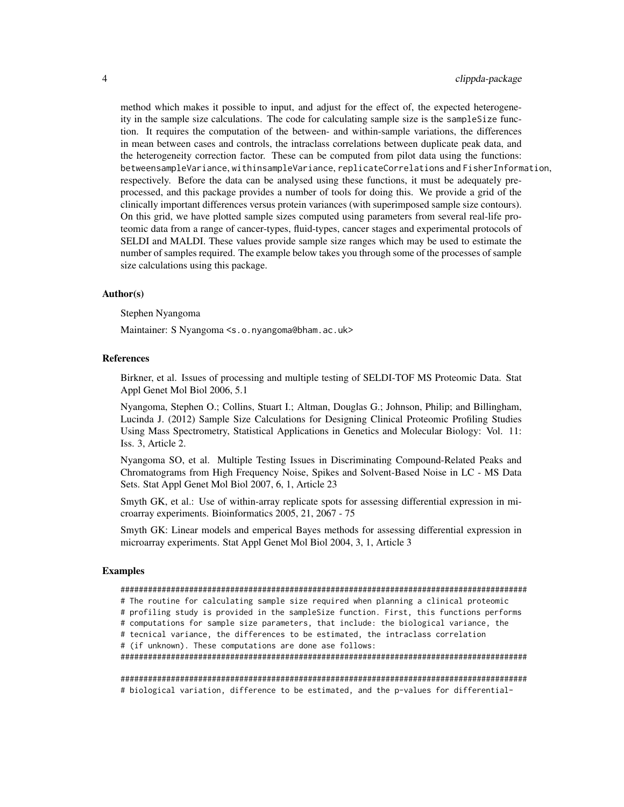method which makes it possible to input, and adjust for the effect of, the expected heterogeneity in the sample size calculations. The code for calculating sample size is the sampleSize function. It requires the computation of the between- and within-sample variations, the differences in mean between cases and controls, the intraclass correlations between duplicate peak data, and the heterogeneity correction factor. These can be computed from pilot data using the functions: betweensampleVariance, withinsampleVariance, replicateCorrelations and FisherInformation, respectively. Before the data can be analysed using these functions, it must be adequately preprocessed, and this package provides a number of tools for doing this. We provide a grid of the clinically important differences versus protein variances (with superimposed sample size contours). On this grid, we have plotted sample sizes computed using parameters from several real-life proteomic data from a range of cancer-types, fluid-types, cancer stages and experimental protocols of SELDI and MALDI. These values provide sample size ranges which may be used to estimate the number of samples required. The example below takes you through some of the processes of sample size calculations using this package.

#### Author(s)

Stephen Nyangoma

Maintainer: S Nyangoma <s.o.nyangoma@bham.ac.uk>

## References

Birkner, et al. Issues of processing and multiple testing of SELDI-TOF MS Proteomic Data. Stat Appl Genet Mol Biol 2006, 5.1

Nyangoma, Stephen O.; Collins, Stuart I.; Altman, Douglas G.; Johnson, Philip; and Billingham, Lucinda J. (2012) Sample Size Calculations for Designing Clinical Proteomic Profiling Studies Using Mass Spectrometry, Statistical Applications in Genetics and Molecular Biology: Vol. 11: Iss. 3, Article 2.

Nyangoma SO, et al. Multiple Testing Issues in Discriminating Compound-Related Peaks and Chromatograms from High Frequency Noise, Spikes and Solvent-Based Noise in LC - MS Data Sets. Stat Appl Genet Mol Biol 2007, 6, 1, Article 23

Smyth GK, et al.: Use of within-array replicate spots for assessing differential expression in microarray experiments. Bioinformatics 2005, 21, 2067 - 75

Smyth GK: Linear models and emperical Bayes methods for assessing differential expression in microarray experiments. Stat Appl Genet Mol Biol 2004, 3, 1, Article 3

#### Examples

#### #########################################################################################

# The routine for calculating sample size required when planning a clinical proteomic

# profiling study is provided in the sampleSize function. First, this functions performs # computations for sample size parameters, that include: the biological variance, the

# tecnical variance, the differences to be estimated, the intraclass correlation

# (if unknown). These computations are done ase follows:

#########################################################################################

######################################################################################### # biological variation, difference to be estimated, and the p-values for differential-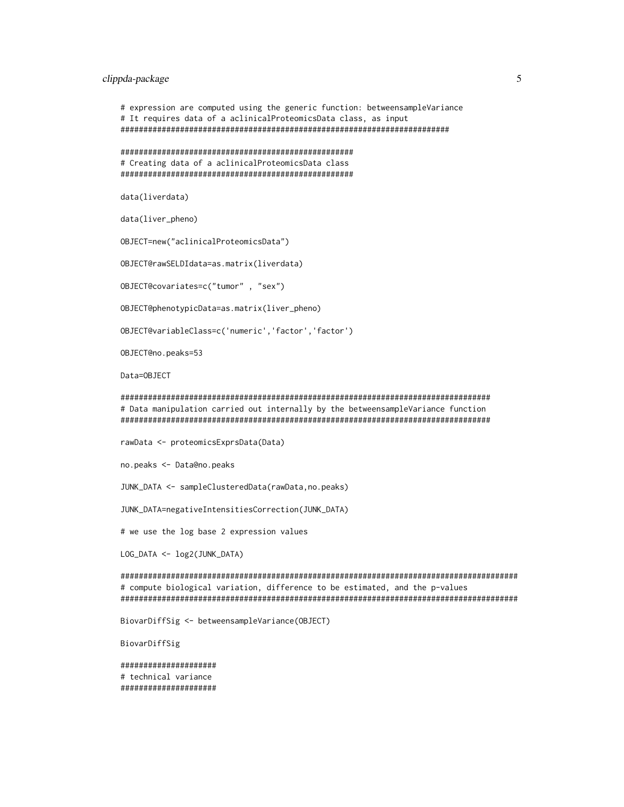## clippda-package 5

```
# expression are computed using the generic function: betweensampleVariance
# It requires data of a aclinicalProteomicsData class, as input
########################################################################
```
################################################### # Creating data of a aclinicalProteomicsData class ###################################################

data(liverdata)

data(liver\_pheno)

OBJECT=new("aclinicalProteomicsData")

OBJECT@rawSELDIdata=as.matrix(liverdata)

OBJECT@covariates=c("tumor" , "sex")

OBJECT@phenotypicData=as.matrix(liver\_pheno)

OBJECT@variableClass=c('numeric','factor','factor')

OBJECT@no.peaks=53

Data=OBJECT

### ################################################################################# # Data manipulation carried out internally by the betweensampleVariance function #################################################################################

rawData <- proteomicsExprsData(Data)

no.peaks <- Data@no.peaks

JUNK\_DATA <- sampleClusteredData(rawData,no.peaks)

JUNK\_DATA=negativeIntensitiesCorrection(JUNK\_DATA)

# we use the log base 2 expression values

LOG\_DATA <- log2(JUNK\_DATA)

####################################################################################### # compute biological variation, difference to be estimated, and the p-values #######################################################################################

BiovarDiffSig <- betweensampleVariance(OBJECT)

BiovarDiffSig

##################### # technical variance #####################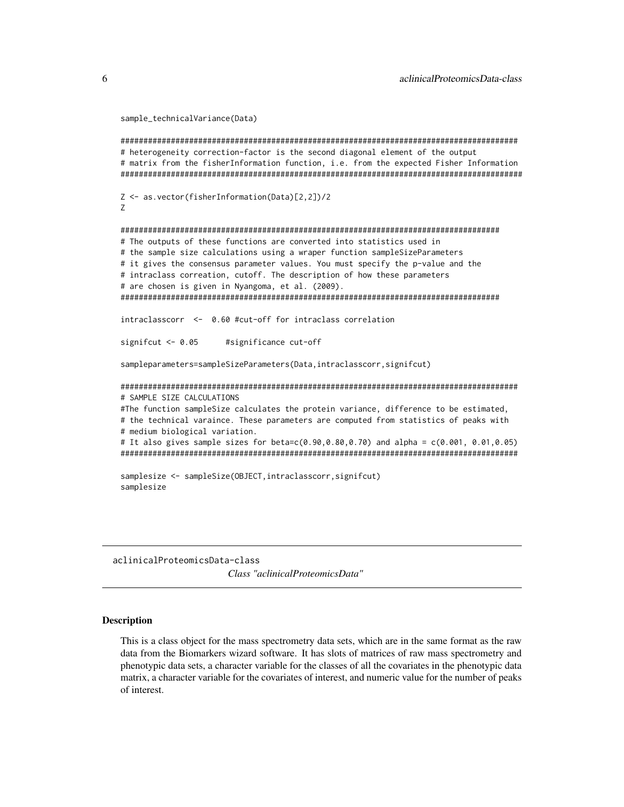```
sample_technicalVariance(Data)
```

```
#######################################################################################
# heterogeneity correction-factor is the second diagonal element of the output
# matrix from the fisherInformation function, i.e. from the expected Fisher Information
########################################################################################
Z <- as.vector(fisherInformation(Data)[2,2])/2
Z
###################################################################################
# The outputs of these functions are converted into statistics used in
# the sample size calculations using a wraper function sampleSizeParameters
# it gives the consensus parameter values. You must specify the p-value and the
# intraclass correation, cutoff. The description of how these parameters
# are chosen is given in Nyangoma, et al. (2009).
###################################################################################
intraclasscorr <- 0.60 #cut-off for intraclass correlation
signifcut <- 0.05 #significance cut-off
sampleparameters=sampleSizeParameters(Data,intraclasscorr,signifcut)
#######################################################################################
# SAMPLE SIZE CALCULATIONS
#The function sampleSize calculates the protein variance, difference to be estimated,
# the technical varaince. These parameters are computed from statistics of peaks with
# medium biological variation.
# It also gives sample sizes for beta=c(0.90,0.80,0.70) and alpha = c(0.001, 0.01,0.05)
#######################################################################################
samplesize <- sampleSize(OBJECT,intraclasscorr,signifcut)
samplesize
```
aclinicalProteomicsData-class *Class "aclinicalProteomicsData"*

#### Description

This is a class object for the mass spectrometry data sets, which are in the same format as the raw data from the Biomarkers wizard software. It has slots of matrices of raw mass spectrometry and phenotypic data sets, a character variable for the classes of all the covariates in the phenotypic data matrix, a character variable for the covariates of interest, and numeric value for the number of peaks of interest.

<span id="page-5-0"></span>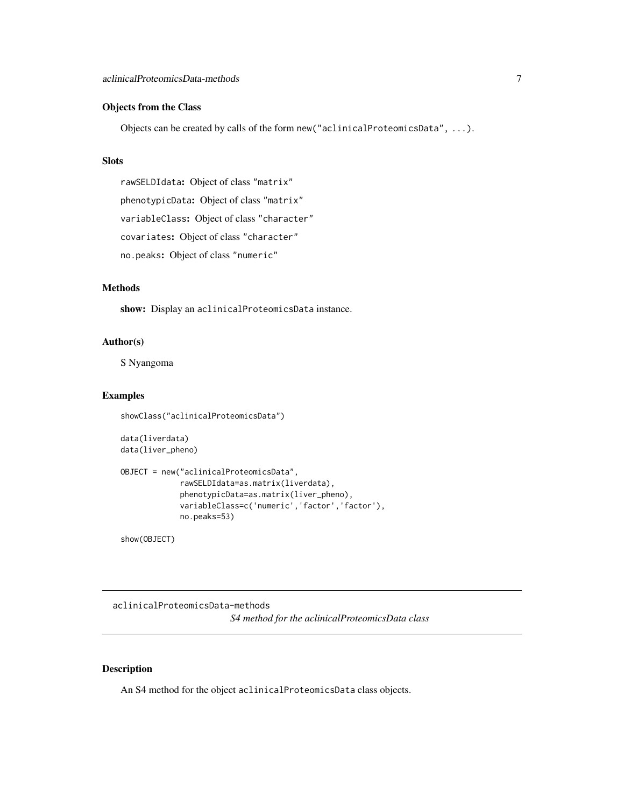## <span id="page-6-0"></span>Objects from the Class

Objects can be created by calls of the form new("aclinicalProteomicsData", ...).

## Slots

rawSELDIdata: Object of class "matrix" phenotypicData: Object of class "matrix" variableClass: Object of class "character" covariates: Object of class "character" no.peaks: Object of class "numeric"

## Methods

show: Display an aclinicalProteomicsData instance.

## Author(s)

S Nyangoma

#### Examples

```
showClass("aclinicalProteomicsData")
```

```
data(liverdata)
data(liver_pheno)
```

```
OBJECT = new("aclinicalProteomicsData",
            rawSELDIdata=as.matrix(liverdata),
             phenotypicData=as.matrix(liver_pheno),
             variableClass=c('numeric','factor','factor'),
             no.peaks=53)
```
show(OBJECT)

aclinicalProteomicsData-methods *S4 method for the aclinicalProteomicsData class*

#### Description

An S4 method for the object aclinicalProteomicsData class objects.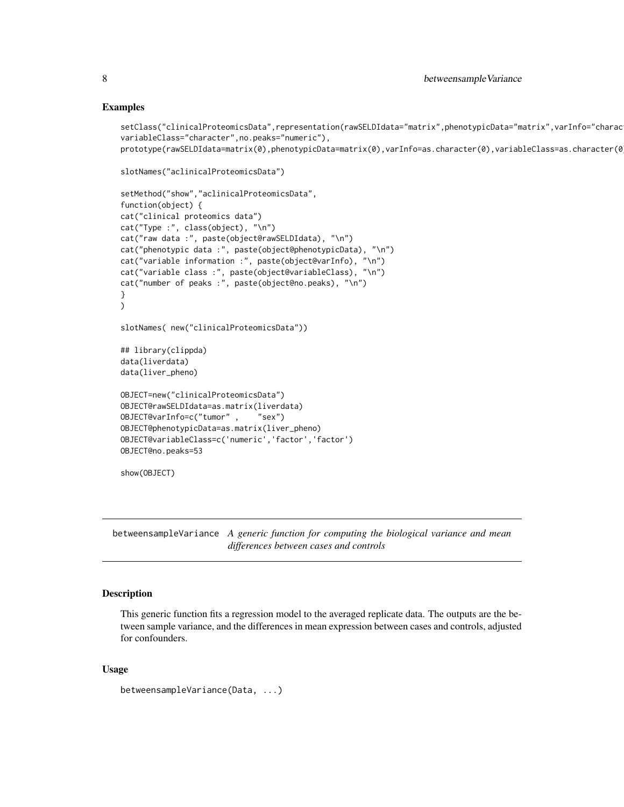## Examples

```
setClass("clinicalProteomicsData",representation(rawSELDIdata="matrix",phenotypicData="matrix",varInfo="charac
variableClass="character",no.peaks="numeric"),
prototype(rawSELDIdata=matrix(0),phenotypicData=matrix(0),varInfo=as.character(0),variableClass=as.character(0
```

```
slotNames("aclinicalProteomicsData")
```

```
setMethod("show","aclinicalProteomicsData",
function(object) {
cat("clinical proteomics data")
cat("Type :", class(object), "\n")
cat("raw data :", paste(object@rawSELDIdata), "\n")
cat("phenotypic data :", paste(object@phenotypicData), "\n")
cat("variable information :", paste(object@varInfo), "\n")
cat("variable class :", paste(object@variableClass), "\n")
cat("number of peaks :", paste(object@no.peaks), "\n")
}
)
slotNames( new("clinicalProteomicsData"))
## library(clippda)
data(liverdata)
data(liver_pheno)
OBJECT=new("clinicalProteomicsData")
OBJECT@rawSELDIdata=as.matrix(liverdata)
OBJECT@varInfo=c("tumor" , "sex")
OBJECT@phenotypicData=as.matrix(liver_pheno)
OBJECT@variableClass=c('numeric','factor','factor')
OBJECT@no.peaks=53
```

```
show(OBJECT)
```
betweensampleVariance *A generic function for computing the biological variance and mean differences between cases and controls*

## Description

This generic function fits a regression model to the averaged replicate data. The outputs are the between sample variance, and the differences in mean expression between cases and controls, adjusted for confounders.

#### Usage

```
betweensampleVariance(Data, ...)
```
<span id="page-7-0"></span>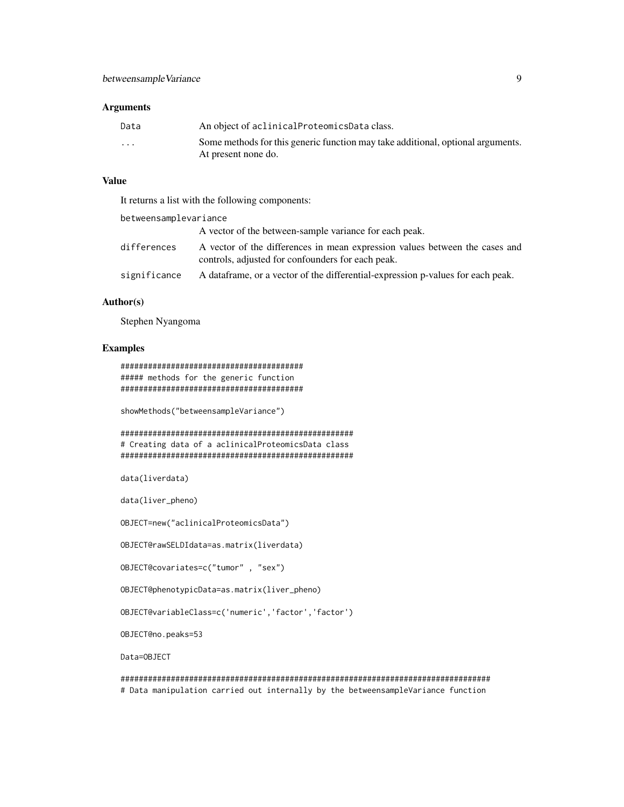## Arguments

| Data                 | An object of aclinical Proteomics Data class.                                   |
|----------------------|---------------------------------------------------------------------------------|
| $\ddot{\phantom{0}}$ | Some methods for this generic function may take additional, optional arguments. |
|                      | At present none do.                                                             |

## Value

It returns a list with the following components:

| betweensamplevariance |                                                                                                                                  |
|-----------------------|----------------------------------------------------------------------------------------------------------------------------------|
|                       | A vector of the between-sample variance for each peak.                                                                           |
| differences           | A vector of the differences in mean expression values between the cases and<br>controls, adjusted for confounders for each peak. |
| significance          | A data frame, or a vector of the differential-expression p-values for each peak.                                                 |

## Author(s)

Stephen Nyangoma

## Examples

######################################## ##### methods for the generic function ########################################

showMethods("betweensampleVariance")

```
###################################################
# Creating data of a aclinicalProteomicsData class
###################################################
```
data(liverdata)

data(liver\_pheno)

OBJECT=new("aclinicalProteomicsData")

OBJECT@rawSELDIdata=as.matrix(liverdata)

OBJECT@covariates=c("tumor" , "sex")

OBJECT@phenotypicData=as.matrix(liver\_pheno)

OBJECT@variableClass=c('numeric','factor','factor')

OBJECT@no.peaks=53

Data=OBJECT

################################################################################# # Data manipulation carried out internally by the betweensampleVariance function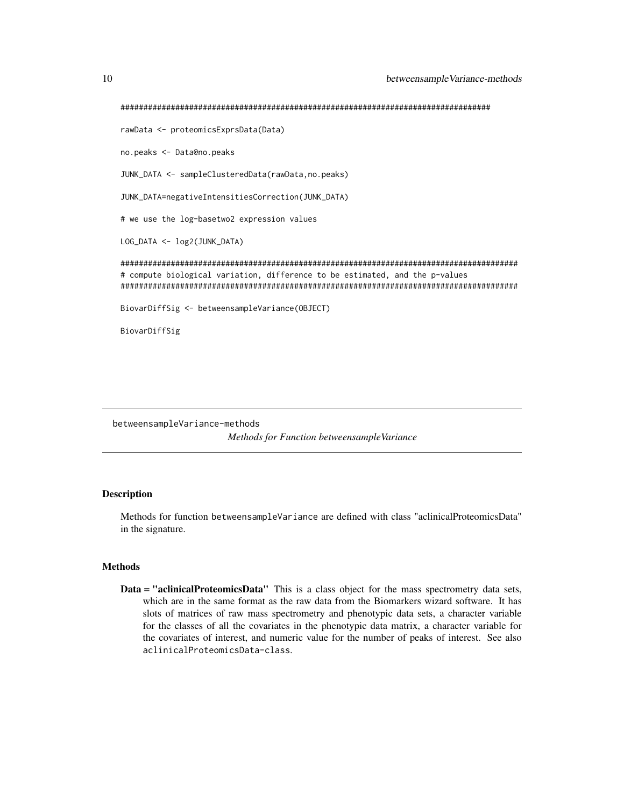```
#################################################################################
rawData <- proteomicsExprsData(Data)
no.peaks <- Data@no.peaks
JUNK_DATA <- sampleClusteredData(rawData,no.peaks)
JUNK_DATA=negativeIntensitiesCorrection(JUNK_DATA)
# we use the log-basetwo2 expression values
LOG_DATA <- log2(JUNK_DATA)
#######################################################################################
# compute biological variation, difference to be estimated, and the p-values
#######################################################################################
BiovarDiffSig <- betweensampleVariance(OBJECT)
BiovarDiffSig
```
betweensampleVariance-methods *Methods for Function betweensampleVariance*

#### **Description**

Methods for function betweensampleVariance are defined with class "aclinicalProteomicsData" in the signature.

## Methods

Data = "aclinicalProteomicsData" This is a class object for the mass spectrometry data sets, which are in the same format as the raw data from the Biomarkers wizard software. It has slots of matrices of raw mass spectrometry and phenotypic data sets, a character variable for the classes of all the covariates in the phenotypic data matrix, a character variable for the covariates of interest, and numeric value for the number of peaks of interest. See also aclinicalProteomicsData-class.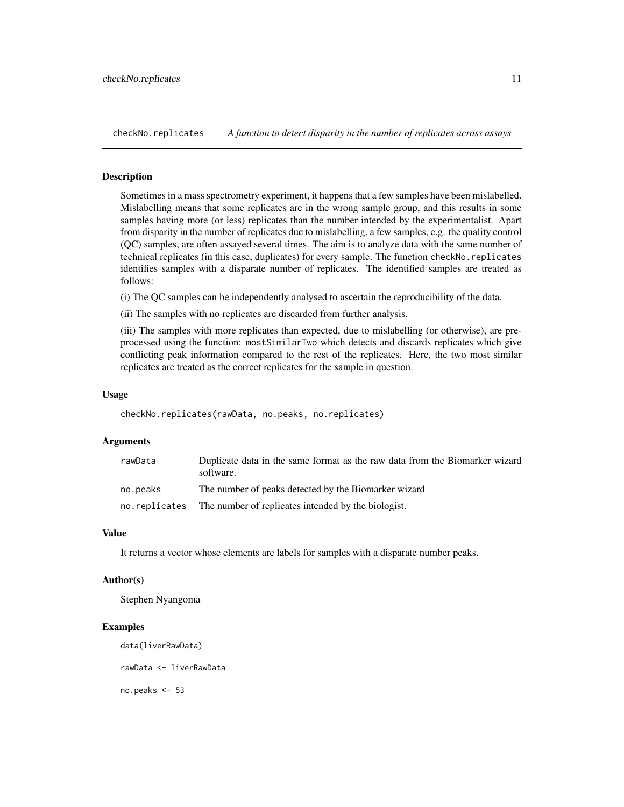<span id="page-10-0"></span>checkNo.replicates *A function to detect disparity in the number of replicates across assays*

#### Description

Sometimes in a mass spectrometry experiment, it happens that a few samples have been mislabelled. Mislabelling means that some replicates are in the wrong sample group, and this results in some samples having more (or less) replicates than the number intended by the experimentalist. Apart from disparity in the number of replicates due to mislabelling, a few samples, e.g. the quality control (QC) samples, are often assayed several times. The aim is to analyze data with the same number of technical replicates (in this case, duplicates) for every sample. The function checkNo.replicates identifies samples with a disparate number of replicates. The identified samples are treated as follows:

(i) The QC samples can be independently analysed to ascertain the reproducibility of the data.

(ii) The samples with no replicates are discarded from further analysis.

(iii) The samples with more replicates than expected, due to mislabelling (or otherwise), are preprocessed using the function: mostSimilarTwo which detects and discards replicates which give conflicting peak information compared to the rest of the replicates. Here, the two most similar replicates are treated as the correct replicates for the sample in question.

#### Usage

```
checkNo.replicates(rawData, no.peaks, no.replicates)
```
## Arguments

| rawData  | Duplicate data in the same format as the raw data from the Biomarker wizard<br>software. |
|----------|------------------------------------------------------------------------------------------|
| no.peaks | The number of peaks detected by the Biomarker wizard                                     |
|          | no. replicates The number of replicates intended by the biologist.                       |

## Value

It returns a vector whose elements are labels for samples with a disparate number peaks.

#### Author(s)

Stephen Nyangoma

## Examples

data(liverRawData)

rawData <- liverRawData

no.peaks <- 53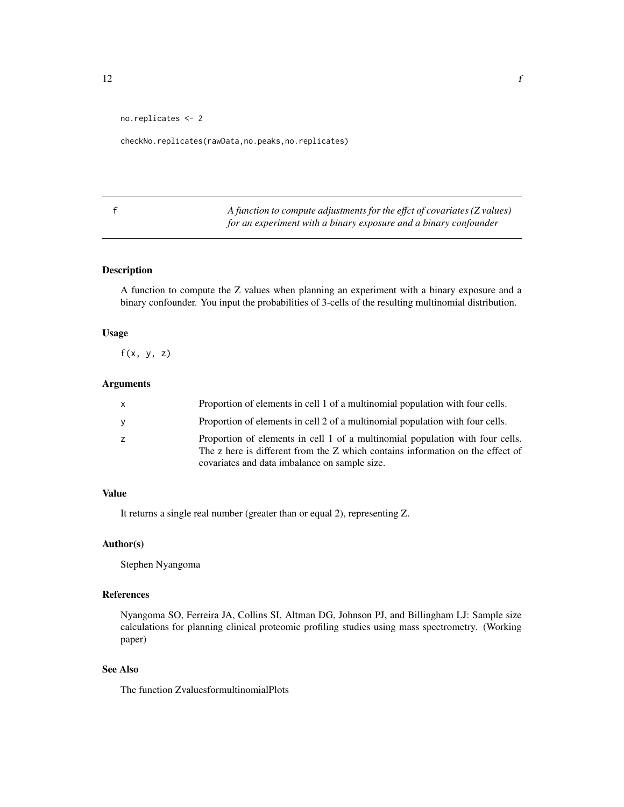```
no.replicates <- 2
```
checkNo.replicates(rawData,no.peaks,no.replicates)

f *A function to compute adjustments for the effct of covariates (Z values) for an experiment with a binary exposure and a binary confounder*

## Description

A function to compute the Z values when planning an experiment with a binary exposure and a binary confounder. You input the probabilities of 3-cells of the resulting multinomial distribution.

## Usage

 $f(x, y, z)$ 

## Arguments

| X | Proportion of elements in cell 1 of a multinomial population with four cells.                                                                                                                                    |
|---|------------------------------------------------------------------------------------------------------------------------------------------------------------------------------------------------------------------|
| y | Proportion of elements in cell 2 of a multinomial population with four cells.                                                                                                                                    |
| z | Proportion of elements in cell 1 of a multinomial population with four cells.<br>The z here is different from the Z which contains information on the effect of<br>covariates and data imbalance on sample size. |

## Value

It returns a single real number (greater than or equal 2), representing Z.

## Author(s)

Stephen Nyangoma

## References

Nyangoma SO, Ferreira JA, Collins SI, Altman DG, Johnson PJ, and Billingham LJ: Sample size calculations for planning clinical proteomic profiling studies using mass spectrometry. (Working paper)

## See Also

The function ZvaluesformultinomialPlots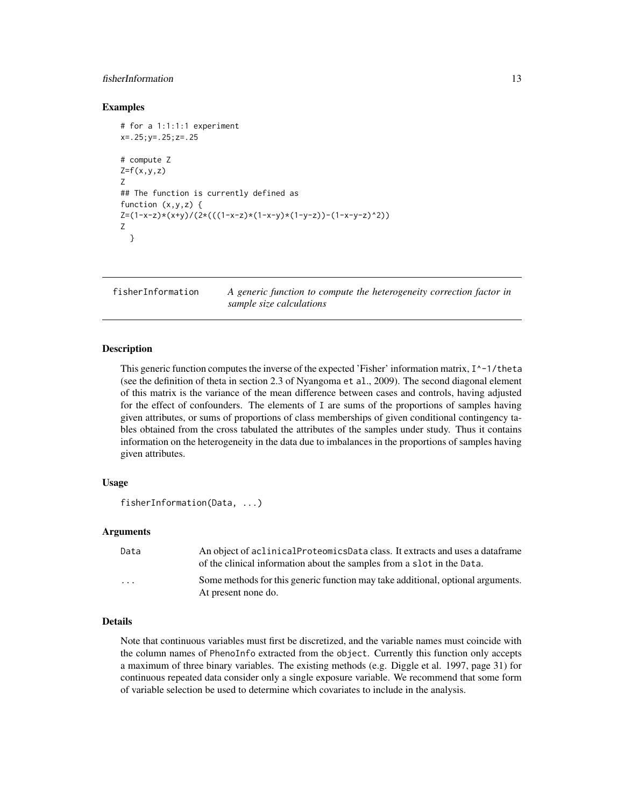## <span id="page-12-0"></span>fisherInformation 13

#### Examples

```
# for a 1:1:1:1 experiment
x=.25;y=.25;z=.25
# compute Z
Z=f(x,y,z)Z
## The function is currently defined as
function (x,y,z) {
Z=(1-x-z)*(x+y)/(2*((1-x-z)*(1-x-y)*(1-y-z))-(1-x-y-z)^2)Z
 }
```
fisherInformation *A generic function to compute the heterogeneity correction factor in sample size calculations*

#### Description

This generic function computes the inverse of the expected 'Fisher' information matrix,  $I^{\wedge -1}/$ theta (see the definition of theta in section 2.3 of Nyangoma et al., 2009). The second diagonal element of this matrix is the variance of the mean difference between cases and controls, having adjusted for the effect of confounders. The elements of I are sums of the proportions of samples having given attributes, or sums of proportions of class memberships of given conditional contingency tables obtained from the cross tabulated the attributes of the samples under study. Thus it contains information on the heterogeneity in the data due to imbalances in the proportions of samples having given attributes.

#### Usage

```
fisherInformation(Data, ...)
```
## Arguments

| Data     | An object of aclinical Proteomics Data class. It extracts and uses a data frame<br>of the clinical information about the samples from a slot in the Data. |
|----------|-----------------------------------------------------------------------------------------------------------------------------------------------------------|
| $\cdots$ | Some methods for this generic function may take additional, optional arguments.<br>At present none do.                                                    |

## Details

Note that continuous variables must first be discretized, and the variable names must coincide with the column names of PhenoInfo extracted from the object. Currently this function only accepts a maximum of three binary variables. The existing methods (e.g. Diggle et al. 1997, page 31) for continuous repeated data consider only a single exposure variable. We recommend that some form of variable selection be used to determine which covariates to include in the analysis.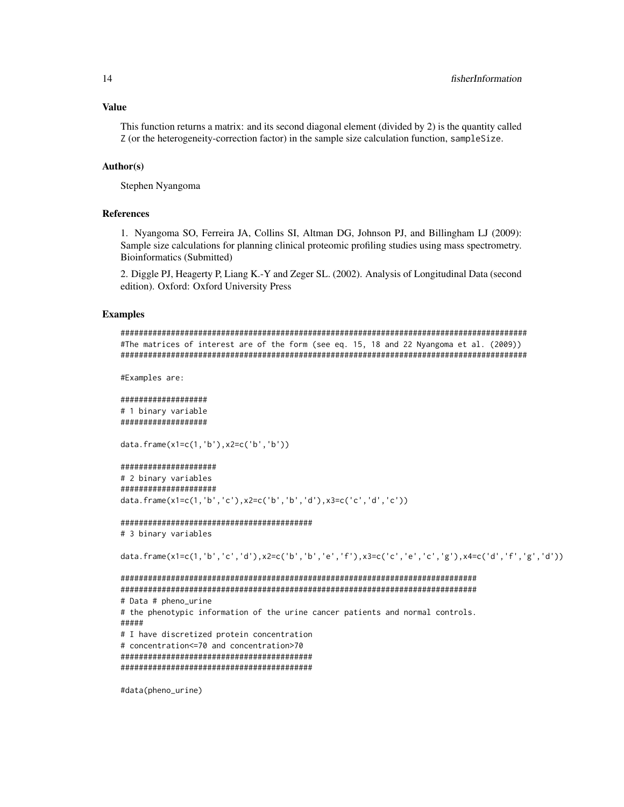Value

This function returns a matrix: and its second diagonal element (divided by 2) is the quantity called Z (or the heterogeneity-correction factor) in the sample size calculation function, sampleSize.

#### Author(s)

Stephen Nyangoma

## References

1. Nyangoma SO, Ferreira JA, Collins SI, Altman DG, Johnson PJ, and Billingham LJ (2009): Sample size calculations for planning clinical proteomic profiling studies using mass spectrometry. Bioinformatics (Submitted)

2. Diggle PJ, Heagerty P, Liang K.-Y and Zeger SL. (2002). Analysis of Longitudinal Data (second edition). Oxford: Oxford University Press

#### Examples

```
#########################################################################################
#The matrices of interest are of the form (see eq. 15, 18 and 22 Nyangoma et al. (2009))
#########################################################################################
```

```
#Examples are:
```

```
###################
# 1 binary variable
###################
```
data.frame(x1=c(1,'b'),x2=c('b','b'))

```
#####################
# 2 binary variables
#####################
data.frame(x1=c(1,'b','c'),x2=c('b','b','d'),x3=c('c','d','c'))
```

```
##########################################
# 3 binary variables
```
data.frame(x1=c(1,'b','c','d'),x2=c('b','b','e','f'),x3=c('c','e','c','g'),x4=c('d','f','g','d'))

```
##############################################################################
##############################################################################
# Data # pheno_urine
# the phenotypic information of the urine cancer patients and normal controls.
#####
# I have discretized protein concentration
# concentration<=70 and concentration>70
##########################################
##########################################
```
#data(pheno\_urine)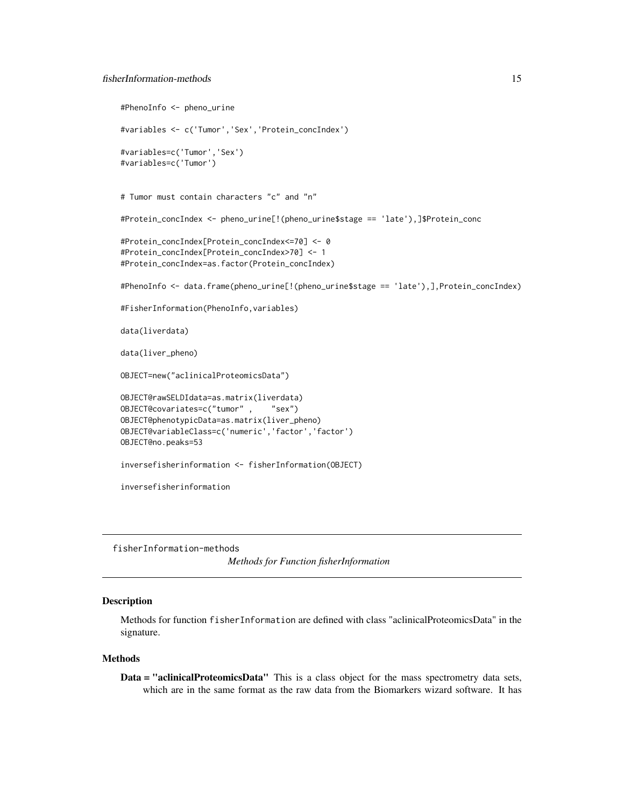```
#PhenoInfo <- pheno_urine
#variables <- c('Tumor','Sex','Protein_concIndex')
#variables=c('Tumor','Sex')
#variables=c('Tumor')
# Tumor must contain characters "c" and "n"
#Protein_concIndex <- pheno_urine[!(pheno_urine$stage == 'late'),]$Protein_conc
#Protein_concIndex[Protein_concIndex<=70] <- 0
#Protein_concIndex[Protein_concIndex>70] <- 1
#Protein_concIndex=as.factor(Protein_concIndex)
#PhenoInfo <- data.frame(pheno_urine[!(pheno_urine$stage == 'late'),],Protein_concIndex)
#FisherInformation(PhenoInfo,variables)
data(liverdata)
data(liver_pheno)
OBJECT=new("aclinicalProteomicsData")
OBJECT@rawSELDIdata=as.matrix(liverdata)
OBJECT@covariates=c("tumor" , "sex")
OBJECT@phenotypicData=as.matrix(liver_pheno)
OBJECT@variableClass=c('numeric','factor','factor')
OBJECT@no.peaks=53
inversefisherinformation <- fisherInformation(OBJECT)
inversefisherinformation
```
fisherInformation-methods

*Methods for Function fisherInformation*

#### Description

Methods for function fisherInformation are defined with class "aclinicalProteomicsData" in the signature.

#### Methods

Data = "aclinicalProteomicsData" This is a class object for the mass spectrometry data sets, which are in the same format as the raw data from the Biomarkers wizard software. It has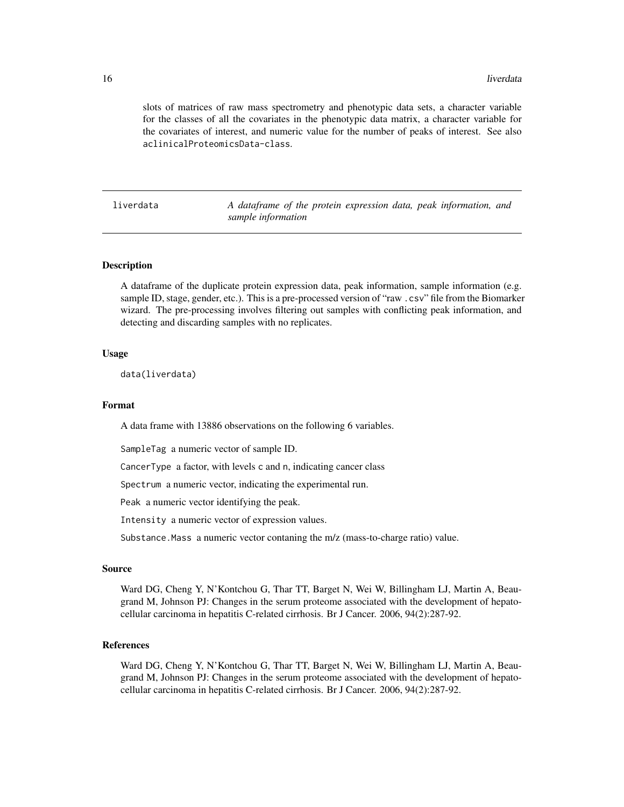<span id="page-15-0"></span>slots of matrices of raw mass spectrometry and phenotypic data sets, a character variable for the classes of all the covariates in the phenotypic data matrix, a character variable for the covariates of interest, and numeric value for the number of peaks of interest. See also aclinicalProteomicsData-class.

liverdata *A dataframe of the protein expression data, peak information, and sample information*

#### Description

A dataframe of the duplicate protein expression data, peak information, sample information (e.g. sample ID, stage, gender, etc.). This is a pre-processed version of "raw .csv" file from the Biomarker wizard. The pre-processing involves filtering out samples with conflicting peak information, and detecting and discarding samples with no replicates.

## Usage

data(liverdata)

#### Format

A data frame with 13886 observations on the following 6 variables.

SampleTag a numeric vector of sample ID.

CancerType a factor, with levels c and n, indicating cancer class

Spectrum a numeric vector, indicating the experimental run.

Peak a numeric vector identifying the peak.

Intensity a numeric vector of expression values.

Substance.Mass a numeric vector contaning the m/z (mass-to-charge ratio) value.

#### Source

Ward DG, Cheng Y, N'Kontchou G, Thar TT, Barget N, Wei W, Billingham LJ, Martin A, Beaugrand M, Johnson PJ: Changes in the serum proteome associated with the development of hepatocellular carcinoma in hepatitis C-related cirrhosis. Br J Cancer. 2006, 94(2):287-92.

#### References

Ward DG, Cheng Y, N'Kontchou G, Thar TT, Barget N, Wei W, Billingham LJ, Martin A, Beaugrand M, Johnson PJ: Changes in the serum proteome associated with the development of hepatocellular carcinoma in hepatitis C-related cirrhosis. Br J Cancer. 2006, 94(2):287-92.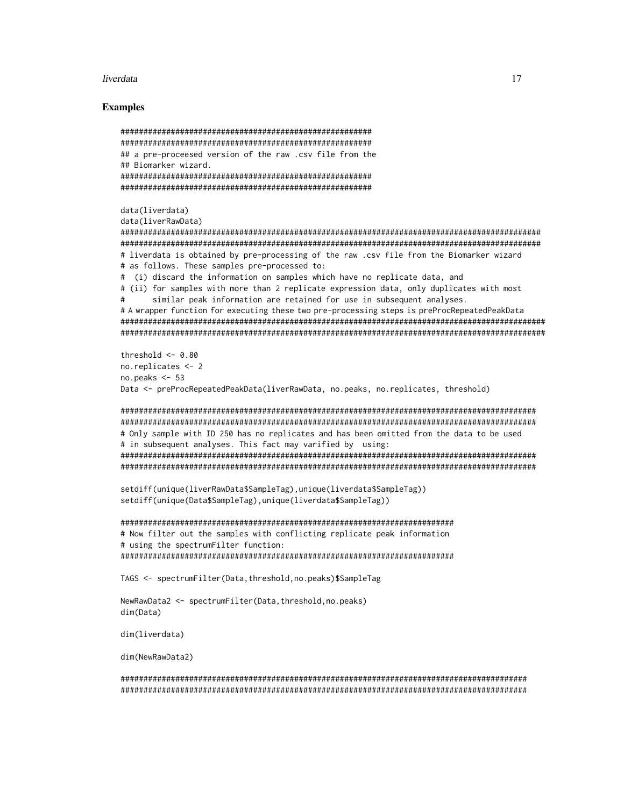#### liverdata and the set of the set of the set of the set of the set of the set of the set of the set of the set of the set of the set of the set of the set of the set of the set of the set of the set of the set of the set of

#### Examples

```
#######################################################
#######################################################
## a pre-proceesed version of the raw .csv file from the
## Biomarker wizard.
#######################################################
#######################################################
data(liverdata)
data(liverRawData)
############################################################################################
############################################################################################
# liverdata is obtained by pre-processing of the raw .csv file from the Biomarker wizard
# as follows. These samples pre-processed to:
# (i) discard the information on samples which have no replicate data, and
# (ii) for samples with more than 2 replicate expression data, only duplicates with most
# similar peak information are retained for use in subsequent analyses.
# A wrapper function for executing these two pre-processing steps is preProcRepeatedPeakData
#############################################################################################
#############################################################################################
threshold <-0.80no.replicates <- 2
no.peaks <- 53
Data <- preProcRepeatedPeakData(liverRawData, no.peaks, no.replicates, threshold)
###########################################################################################
###########################################################################################
# Only sample with ID 250 has no replicates and has been omitted from the data to be used
# in subsequent analyses. This fact may varified by using:
###########################################################################################
###########################################################################################
setdiff(unique(liverRawData$SampleTag),unique(liverdata$SampleTag))
setdiff(unique(Data$SampleTag),unique(liverdata$SampleTag))
#########################################################################
# Now filter out the samples with conflicting replicate peak information
# using the spectrumFilter function:
#########################################################################
TAGS <- spectrumFilter(Data,threshold,no.peaks)$SampleTag
NewRawData2 <- spectrumFilter(Data,threshold,no.peaks)
dim(Data)
dim(liverdata)
dim(NewRawData2)
```
######################################################################################### #########################################################################################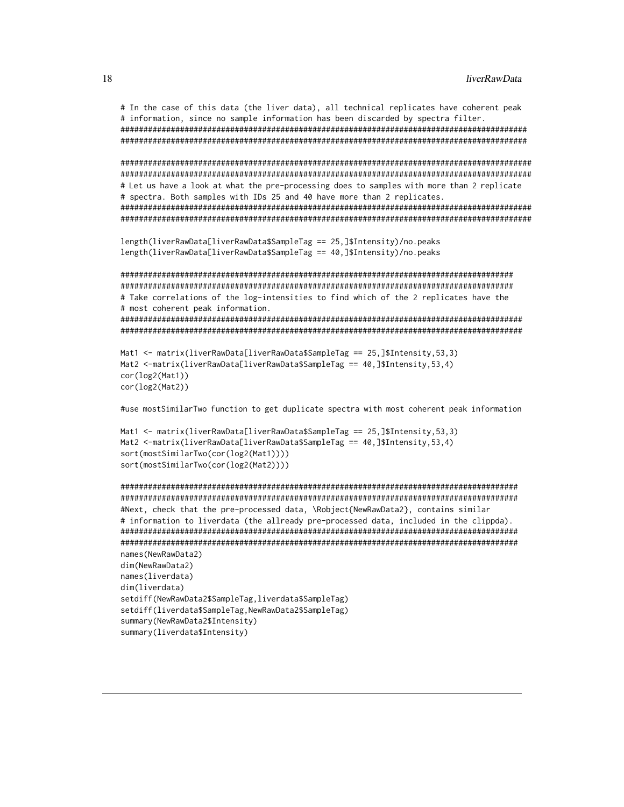```
# In the case of this data (the liver data), all technical replicates have coherent peak
# information, since no sample information has been discarded by spectra filter.
#########################################################################################
#########################################################################################
##########################################################################################
##########################################################################################
# Let us have a look at what the pre-processing does to samples with more than 2 replicate
# spectra. Both samples with IDs 25 and 40 have more than 2 replicates.
##########################################################################################
##########################################################################################
length(liverRawData[liverRawData$SampleTag == 25,]$Intensity)/no.peaks
length(liverRawData[liverRawData$SampleTag == 40,]$Intensity)/no.peaks
######################################################################################
######################################################################################
# Take correlations of the log-intensities to find which of the 2 replicates have the
# most coherent peak information.
########################################################################################
########################################################################################
Mat1 <- matrix(liverRawData[liverRawData$SampleTag == 25,]$Intensity,53,3)
Mat2 <-matrix(liverRawData[liverRawData$SampleTag == 40,]$Intensity,53,4)
cor(log2(Mat1))
cor(log2(Mat2))
#use mostSimilarTwo function to get duplicate spectra with most coherent peak information
Mat1 <- matrix(liverRawData[liverRawData$SampleTag == 25,]$Intensity,53,3)
Mat2 <-matrix(liverRawData[liverRawData$SampleTag == 40,]$Intensity,53,4)
sort(mostSimilarTwo(cor(log2(Mat1))))
sort(mostSimilarTwo(cor(log2(Mat2))))
#######################################################################################
#######################################################################################
#Next, check that the pre-processed data, \Robject{NewRawData2}, contains similar
# information to liverdata (the allready pre-processed data, included in the clippda).
#######################################################################################
#######################################################################################
names(NewRawData2)
dim(NewRawData2)
names(liverdata)
```

```
dim(liverdata)
setdiff(NewRawData2$SampleTag,liverdata$SampleTag)
setdiff(liverdata$SampleTag,NewRawData2$SampleTag)
summary(NewRawData2$Intensity)
summary(liverdata$Intensity)
```
<span id="page-17-0"></span>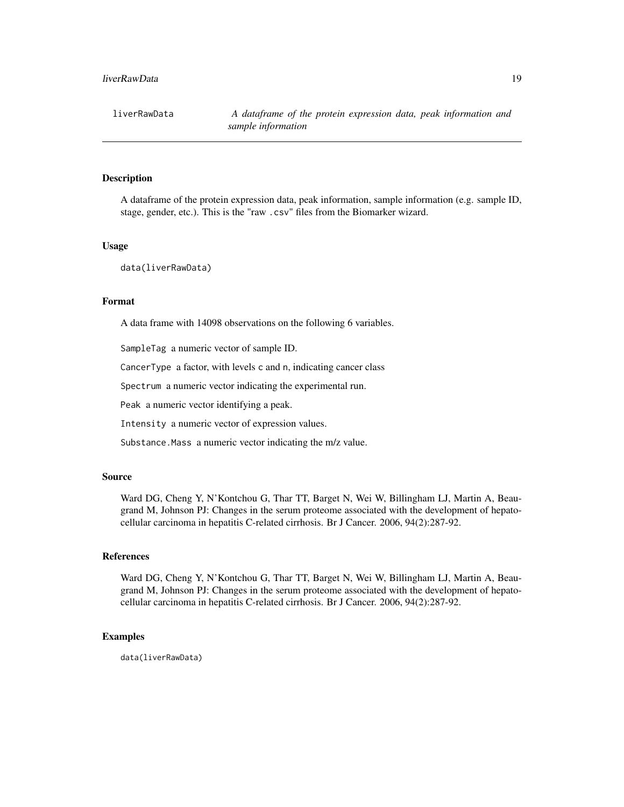## liverRawData 19

## Description

A dataframe of the protein expression data, peak information, sample information (e.g. sample ID, stage, gender, etc.). This is the "raw .csv" files from the Biomarker wizard.

## Usage

data(liverRawData)

## Format

A data frame with 14098 observations on the following 6 variables.

SampleTag a numeric vector of sample ID.

CancerType a factor, with levels c and n, indicating cancer class

Spectrum a numeric vector indicating the experimental run.

Peak a numeric vector identifying a peak.

Intensity a numeric vector of expression values.

Substance.Mass a numeric vector indicating the m/z value.

## Source

Ward DG, Cheng Y, N'Kontchou G, Thar TT, Barget N, Wei W, Billingham LJ, Martin A, Beaugrand M, Johnson PJ: Changes in the serum proteome associated with the development of hepatocellular carcinoma in hepatitis C-related cirrhosis. Br J Cancer. 2006, 94(2):287-92.

#### References

Ward DG, Cheng Y, N'Kontchou G, Thar TT, Barget N, Wei W, Billingham LJ, Martin A, Beaugrand M, Johnson PJ: Changes in the serum proteome associated with the development of hepatocellular carcinoma in hepatitis C-related cirrhosis. Br J Cancer. 2006, 94(2):287-92.

#### Examples

data(liverRawData)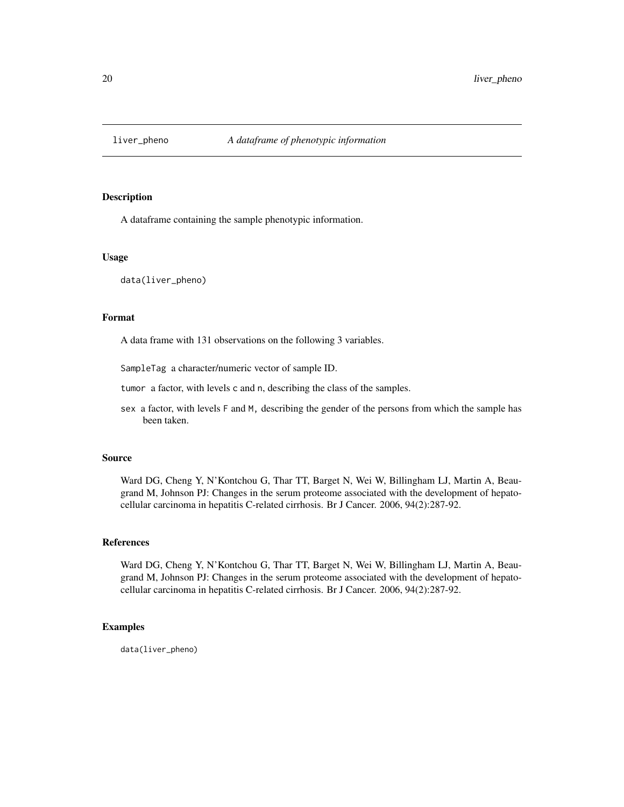<span id="page-19-0"></span>

## Description

A dataframe containing the sample phenotypic information.

#### Usage

data(liver\_pheno)

#### Format

A data frame with 131 observations on the following 3 variables.

SampleTag a character/numeric vector of sample ID.

tumor a factor, with levels c and n, describing the class of the samples.

sex a factor, with levels F and M, describing the gender of the persons from which the sample has been taken.

## Source

Ward DG, Cheng Y, N'Kontchou G, Thar TT, Barget N, Wei W, Billingham LJ, Martin A, Beaugrand M, Johnson PJ: Changes in the serum proteome associated with the development of hepatocellular carcinoma in hepatitis C-related cirrhosis. Br J Cancer. 2006, 94(2):287-92.

#### References

Ward DG, Cheng Y, N'Kontchou G, Thar TT, Barget N, Wei W, Billingham LJ, Martin A, Beaugrand M, Johnson PJ: Changes in the serum proteome associated with the development of hepatocellular carcinoma in hepatitis C-related cirrhosis. Br J Cancer. 2006, 94(2):287-92.

## Examples

data(liver\_pheno)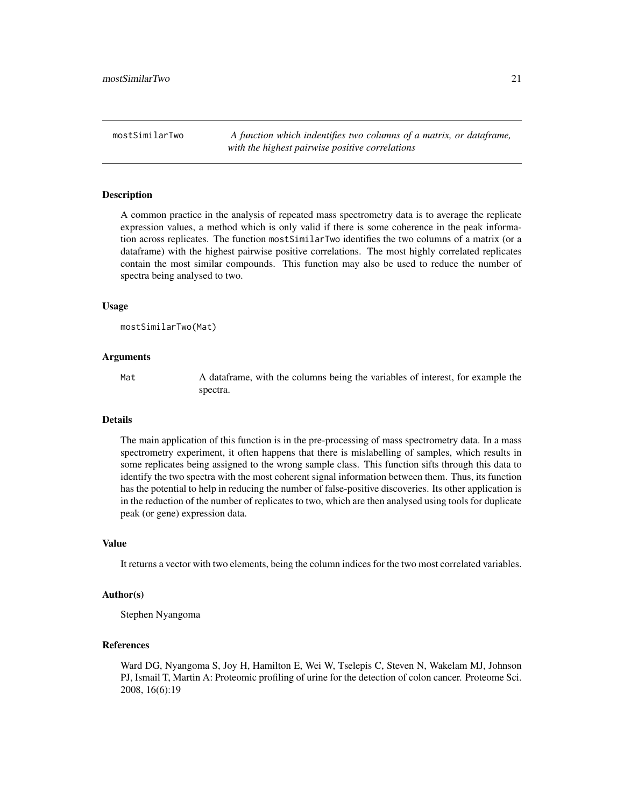<span id="page-20-0"></span>mostSimilarTwo *A function which indentifies two columns of a matrix, or dataframe, with the highest pairwise positive correlations*

#### Description

A common practice in the analysis of repeated mass spectrometry data is to average the replicate expression values, a method which is only valid if there is some coherence in the peak information across replicates. The function mostSimilarTwo identifies the two columns of a matrix (or a dataframe) with the highest pairwise positive correlations. The most highly correlated replicates contain the most similar compounds. This function may also be used to reduce the number of spectra being analysed to two.

#### Usage

```
mostSimilarTwo(Mat)
```
#### Arguments

Mat A dataframe, with the columns being the variables of interest, for example the spectra.

#### Details

The main application of this function is in the pre-processing of mass spectrometry data. In a mass spectrometry experiment, it often happens that there is mislabelling of samples, which results in some replicates being assigned to the wrong sample class. This function sifts through this data to identify the two spectra with the most coherent signal information between them. Thus, its function has the potential to help in reducing the number of false-positive discoveries. Its other application is in the reduction of the number of replicates to two, which are then analysed using tools for duplicate peak (or gene) expression data.

## Value

It returns a vector with two elements, being the column indices for the two most correlated variables.

#### Author(s)

Stephen Nyangoma

#### References

Ward DG, Nyangoma S, Joy H, Hamilton E, Wei W, Tselepis C, Steven N, Wakelam MJ, Johnson PJ, Ismail T, Martin A: Proteomic profiling of urine for the detection of colon cancer. Proteome Sci. 2008, 16(6):19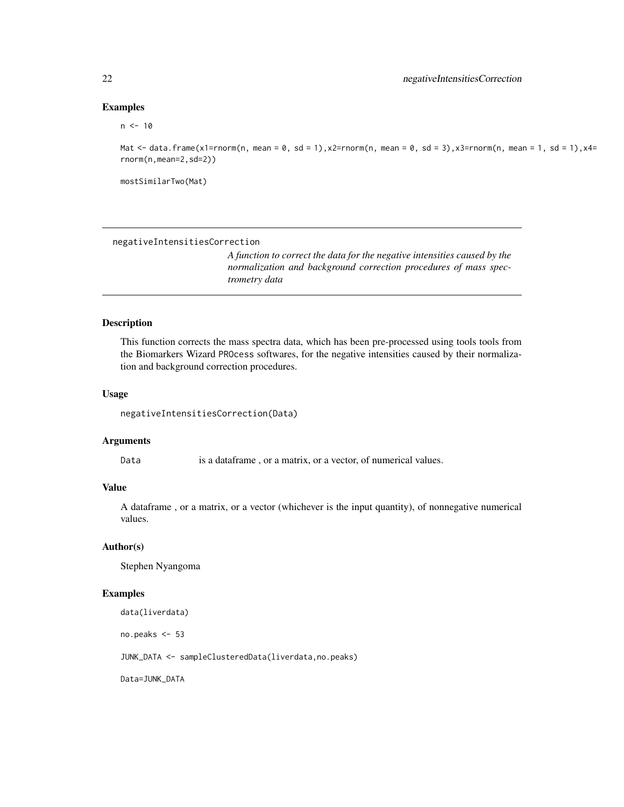#### Examples

## $n < -10$

Mat <- data.frame(x1=rnorm(n, mean = 0, sd = 1),x2=rnorm(n, mean = 0, sd = 3),x3=rnorm(n, mean = 1, sd = 1),x4= rnorm(n,mean=2,sd=2))

mostSimilarTwo(Mat)

negativeIntensitiesCorrection

*A function to correct the data for the negative intensities caused by the normalization and background correction procedures of mass spectrometry data*

### Description

This function corrects the mass spectra data, which has been pre-processed using tools tools from the Biomarkers Wizard PROcess softwares, for the negative intensities caused by their normalization and background correction procedures.

## Usage

negativeIntensitiesCorrection(Data)

#### Arguments

Data is a dataframe, or a matrix, or a vector, of numerical values.

## Value

A dataframe , or a matrix, or a vector (whichever is the input quantity), of nonnegative numerical values.

#### Author(s)

Stephen Nyangoma

## Examples

data(liverdata)

no.peaks <- 53

JUNK\_DATA <- sampleClusteredData(liverdata,no.peaks)

Data=JUNK\_DATA

<span id="page-21-0"></span>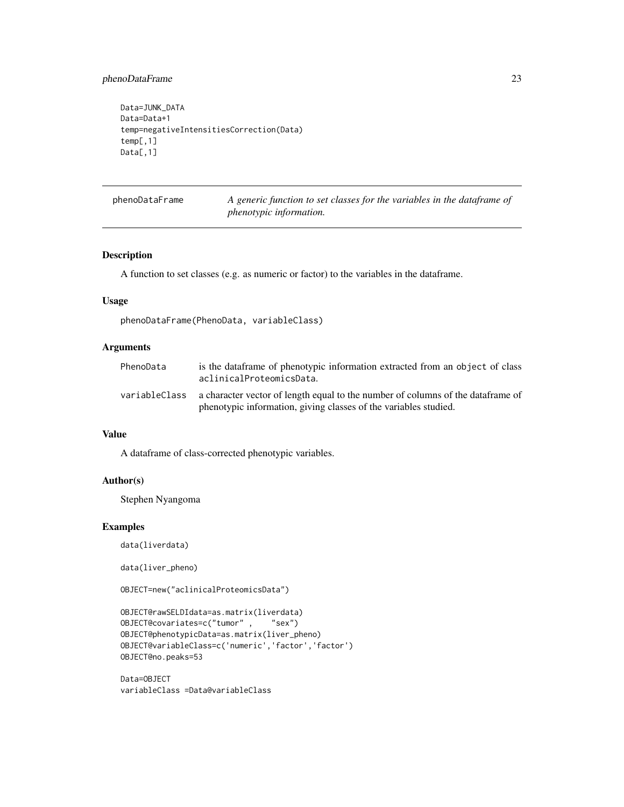## <span id="page-22-0"></span>phenoDataFrame 23

```
Data=JUNK_DATA
Data=Data+1
temp=negativeIntensitiesCorrection(Data)
temp[,1]
Data[,1]
```

| phenoDataFrame | A generic function to set classes for the variables in the dataframe of |
|----------------|-------------------------------------------------------------------------|
|                | <i>phenotypic information.</i>                                          |

#### Description

A function to set classes (e.g. as numeric or factor) to the variables in the dataframe.

#### Usage

phenoDataFrame(PhenoData, variableClass)

## Arguments

| PhenoData     | is the dataframe of phenotypic information extracted from an object of class<br>aclinicalProteomicsData.                                            |
|---------------|-----------------------------------------------------------------------------------------------------------------------------------------------------|
| variableClass | a character vector of length equal to the number of columns of the dataframe of<br>phenotypic information, giving classes of the variables studied. |

#### Value

A dataframe of class-corrected phenotypic variables.

## Author(s)

Stephen Nyangoma

## Examples

data(liverdata)

data(liver\_pheno)

OBJECT=new("aclinicalProteomicsData")

```
OBJECT@rawSELDIdata=as.matrix(liverdata)
OBJECT@covariates=c("tumor" , "sex")
OBJECT@phenotypicData=as.matrix(liver_pheno)
OBJECT@variableClass=c('numeric','factor','factor')
OBJECT@no.peaks=53
```
Data=OBJECT variableClass =Data@variableClass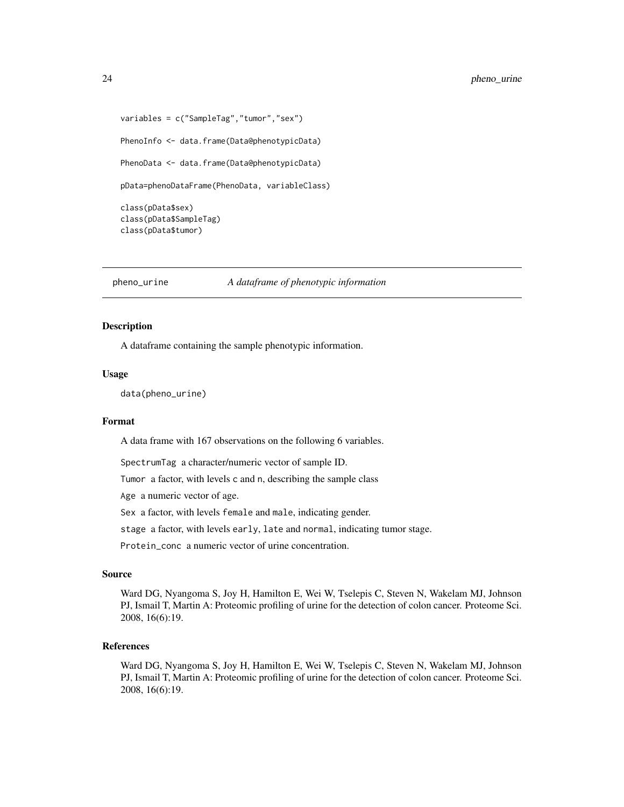```
variables = c("SampleTag","tumor","sex")
PhenoInfo <- data.frame(Data@phenotypicData)
PhenoData <- data.frame(Data@phenotypicData)
pData=phenoDataFrame(PhenoData, variableClass)
class(pData$sex)
class(pData$SampleTag)
class(pData$tumor)
```
#### pheno\_urine *A dataframe of phenotypic information*

#### Description

A dataframe containing the sample phenotypic information.

#### Usage

data(pheno\_urine)

#### Format

A data frame with 167 observations on the following 6 variables.

SpectrumTag a character/numeric vector of sample ID.

Tumor a factor, with levels c and n, describing the sample class

Age a numeric vector of age.

Sex a factor, with levels female and male, indicating gender.

stage a factor, with levels early, late and normal, indicating tumor stage.

Protein\_conc a numeric vector of urine concentration.

#### Source

Ward DG, Nyangoma S, Joy H, Hamilton E, Wei W, Tselepis C, Steven N, Wakelam MJ, Johnson PJ, Ismail T, Martin A: Proteomic profiling of urine for the detection of colon cancer. Proteome Sci. 2008, 16(6):19.

#### References

Ward DG, Nyangoma S, Joy H, Hamilton E, Wei W, Tselepis C, Steven N, Wakelam MJ, Johnson PJ, Ismail T, Martin A: Proteomic profiling of urine for the detection of colon cancer. Proteome Sci. 2008, 16(6):19.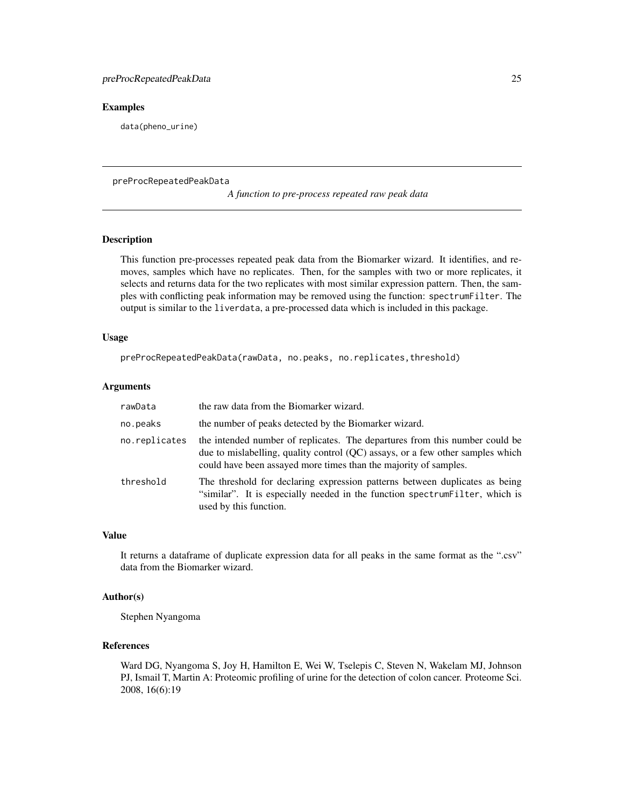## <span id="page-24-0"></span>Examples

data(pheno\_urine)

preProcRepeatedPeakData

*A function to pre-process repeated raw peak data*

#### Description

This function pre-processes repeated peak data from the Biomarker wizard. It identifies, and removes, samples which have no replicates. Then, for the samples with two or more replicates, it selects and returns data for the two replicates with most similar expression pattern. Then, the samples with conflicting peak information may be removed using the function: spectrumFilter. The output is similar to the liverdata, a pre-processed data which is included in this package.

#### Usage

preProcRepeatedPeakData(rawData, no.peaks, no.replicates,threshold)

#### Arguments

| rawData       | the raw data from the Biomarker wizard.                                                                                                                                                                                           |
|---------------|-----------------------------------------------------------------------------------------------------------------------------------------------------------------------------------------------------------------------------------|
| no.peaks      | the number of peaks detected by the Biomarker wizard.                                                                                                                                                                             |
| no.replicates | the intended number of replicates. The departures from this number could be<br>due to mislabelling, quality control (QC) assays, or a few other samples which<br>could have been assayed more times than the majority of samples. |
| threshold     | The threshold for declaring expression patterns between duplicates as being<br>"similar". It is especially needed in the function spectrum Filter, which is<br>used by this function.                                             |

#### Value

It returns a dataframe of duplicate expression data for all peaks in the same format as the ".csv" data from the Biomarker wizard.

#### Author(s)

Stephen Nyangoma

#### References

Ward DG, Nyangoma S, Joy H, Hamilton E, Wei W, Tselepis C, Steven N, Wakelam MJ, Johnson PJ, Ismail T, Martin A: Proteomic profiling of urine for the detection of colon cancer. Proteome Sci. 2008, 16(6):19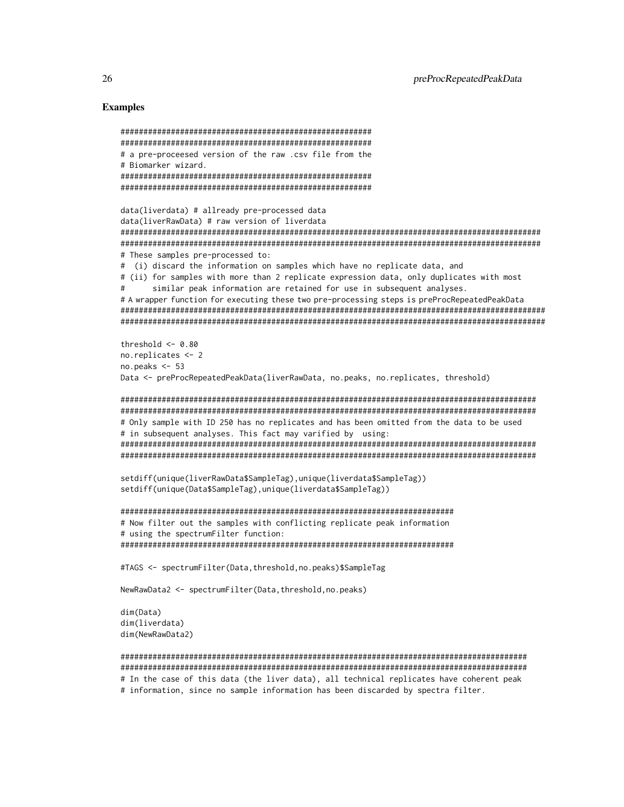#### Examples

```
#######################################################
#######################################################
# a pre-proceesed version of the raw .csv file from the
# Biomarker wizard.
#######################################################
#######################################################
data(liverdata) # allready pre-processed data
data(liverRawData) # raw version of liverdata
############################################################################################
############################################################################################
# These samples pre-processed to:
# (i) discard the information on samples which have no replicate data, and
# (ii) for samples with more than 2 replicate expression data, only duplicates with most
      similar peak information are retained for use in subsequent analyses.
# A wrapper function for executing these two pre-processing steps is preProcRepeatedPeakData
#############################################################################################
#############################################################################################
threshold <-0.80no.replicates <- 2
no.peaks \leq 53
Data <- preProcRepeatedPeakData(liverRawData, no.peaks, no.replicates, threshold)
###########################################################################################
###########################################################################################
# Only sample with ID 250 has no replicates and has been omitted from the data to be used
# in subsequent analyses. This fact may varified by using:
###########################################################################################
###########################################################################################
setdiff(unique(liverRawData$SampleTag),unique(liverdata$SampleTag))
setdiff(unique(Data$SampleTag),unique(liverdata$SampleTag))
#########################################################################
# Now filter out the samples with conflicting replicate peak information
# using the spectrumFilter function:
#########################################################################
#TAGS <- spectrumFilter(Data,threshold,no.peaks)$SampleTag
NewRawData2 <- spectrumFilter(Data,threshold,no.peaks)
dim(Data)
dim(liverdata)
dim(NewRawData2)
#########################################################################################
#########################################################################################
# In the case of this data (the liver data), all technical replicates have coherent peak
```
# information, since no sample information has been discarded by spectra filter.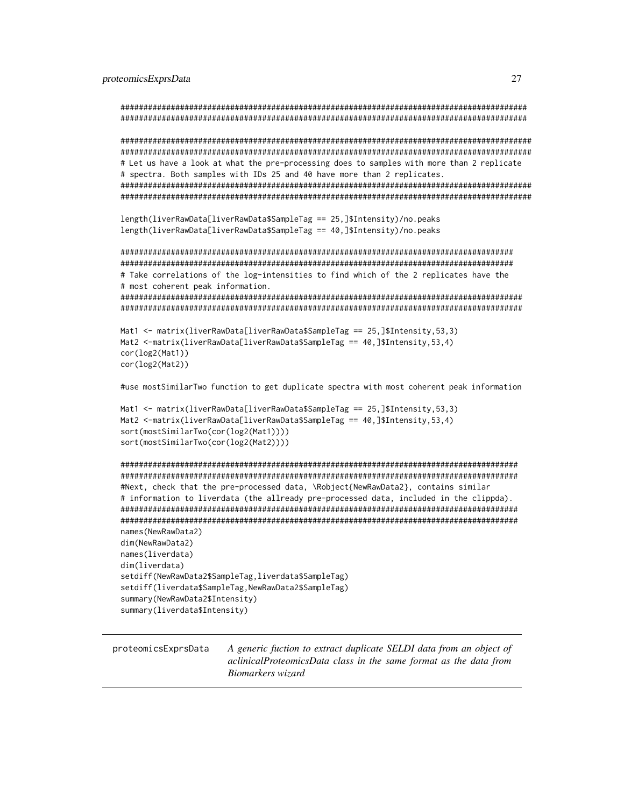```
#########################################################################################
#########################################################################################
##########################################################################################
##########################################################################################
# Let us have a look at what the pre-processing does to samples with more than 2 replicate
# spectra. Both samples with IDs 25 and 40 have more than 2 replicates.
##########################################################################################
##########################################################################################
length(liverRawData[liverRawData$SampleTag == 25,]$Intensity)/no.peaks
length(liverRawData[liverRawData$SampleTag == 40,]$Intensity)/no.peaks
######################################################################################
######################################################################################
# Take correlations of the log-intensities to find which of the 2 replicates have the
# most coherent peak information.
########################################################################################
########################################################################################
Mat1 <- matrix(liverRawData[liverRawData$SampleTag == 25,]$Intensity,53,3)
Mat2 <-matrix(liverRawData[liverRawData$SampleTag == 40,]$Intensity,53,4)
cor(log2(Mat1))
cor(log2(Mat2))
#use mostSimilarTwo function to get duplicate spectra with most coherent peak information
Mat1 <- matrix(liverRawData[liverRawData$SampleTag == 25,]$Intensity,53,3)
Mat2 <-matrix(liverRawData[liverRawData$SampleTag == 40,]$Intensity,53,4)
sort(mostSimilarTwo(cor(log2(Mat1))))
sort(mostSimilarTwo(cor(log2(Mat2))))
#######################################################################################
#######################################################################################
#Next, check that the pre-processed data, \Robject{NewRawData2}, contains similar
# information to liverdata (the allready pre-processed data, included in the clippda).
#######################################################################################
#######################################################################################
names(NewRawData2)
dim(NewRawData2)
names(liverdata)
dim(liverdata)
setdiff(NewRawData2$SampleTag,liverdata$SampleTag)
setdiff(liverdata$SampleTag,NewRawData2$SampleTag)
summary(NewRawData2$Intensity)
summary(liverdata$Intensity)
```
proteomicsExprsData *A generic fuction to extract duplicate SELDI data from an object of aclinicalProteomicsData class in the same format as the data from Biomarkers wizard*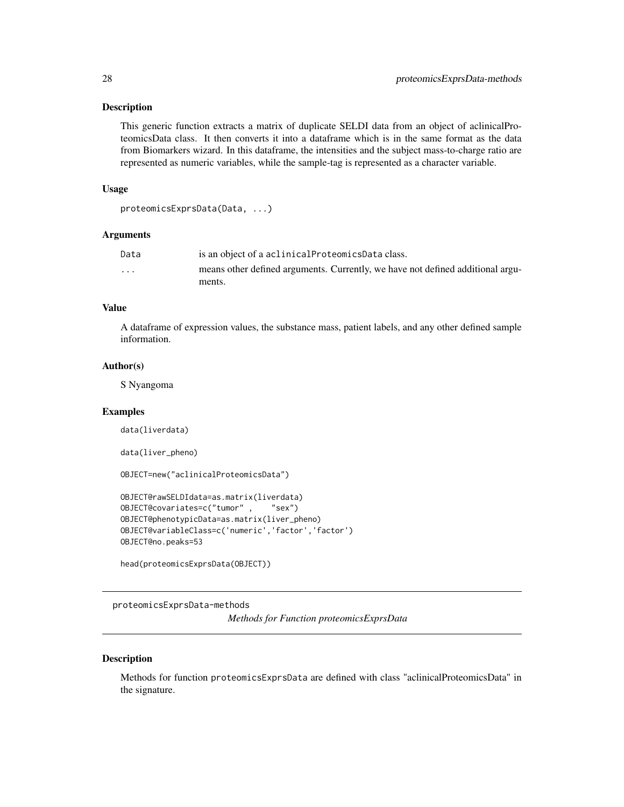#### <span id="page-27-0"></span>Description

This generic function extracts a matrix of duplicate SELDI data from an object of aclinicalProteomicsData class. It then converts it into a dataframe which is in the same format as the data from Biomarkers wizard. In this dataframe, the intensities and the subject mass-to-charge ratio are represented as numeric variables, while the sample-tag is represented as a character variable.

#### Usage

```
proteomicsExprsData(Data, ...)
```
## Arguments

| Data                    | is an object of a aclinical Proteomics Data class.                             |
|-------------------------|--------------------------------------------------------------------------------|
| $\cdot$ $\cdot$ $\cdot$ | means other defined arguments. Currently, we have not defined additional argu- |
|                         | ments.                                                                         |

## Value

A dataframe of expression values, the substance mass, patient labels, and any other defined sample information.

#### Author(s)

S Nyangoma

#### Examples

data(liverdata)

data(liver\_pheno)

```
OBJECT=new("aclinicalProteomicsData")
```

```
OBJECT@rawSELDIdata=as.matrix(liverdata)
OBJECT@covariates=c("tumor" , "sex")
OBJECT@phenotypicData=as.matrix(liver_pheno)
OBJECT@variableClass=c('numeric','factor','factor')
OBJECT@no.peaks=53
```

```
head(proteomicsExprsData(OBJECT))
```
proteomicsExprsData-methods *Methods for Function proteomicsExprsData*

#### **Description**

Methods for function proteomicsExprsData are defined with class "aclinicalProteomicsData" in the signature.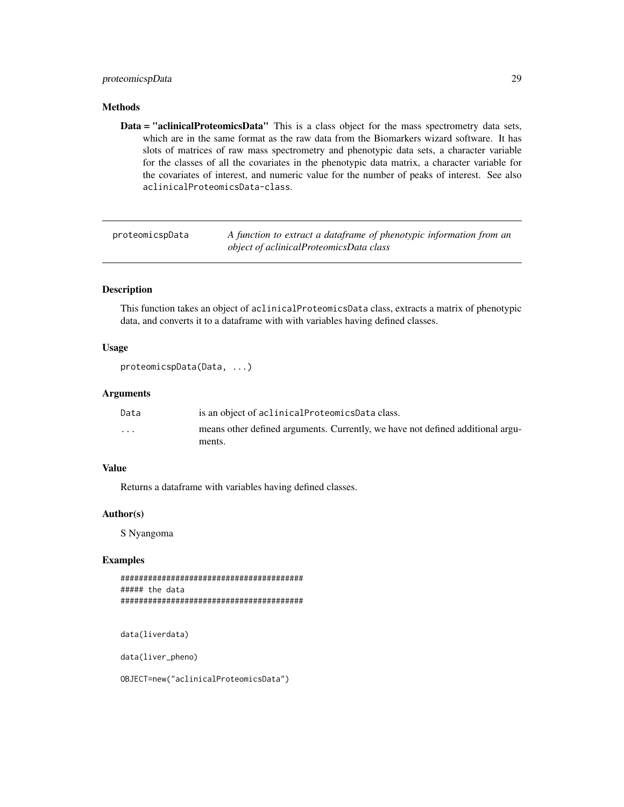## <span id="page-28-0"></span>proteomicspData 29

## Methods

Data = "aclinicalProteomicsData" This is a class object for the mass spectrometry data sets, which are in the same format as the raw data from the Biomarkers wizard software. It has slots of matrices of raw mass spectrometry and phenotypic data sets, a character variable for the classes of all the covariates in the phenotypic data matrix, a character variable for the covariates of interest, and numeric value for the number of peaks of interest. See also aclinicalProteomicsData-class.

proteomicspData *A function to extract a dataframe of phenotypic information from an object of aclinicalProteomicsData class*

## Description

This function takes an object of aclinicalProteomicsData class, extracts a matrix of phenotypic data, and converts it to a dataframe with with variables having defined classes.

### Usage

```
proteomicspData(Data, ...)
```
## Arguments

| Data                 | is an object of aclinical Proteomics Data class.                               |
|----------------------|--------------------------------------------------------------------------------|
| $\ddot{\phantom{0}}$ | means other defined arguments. Currently, we have not defined additional argu- |
|                      | ments.                                                                         |

#### Value

Returns a dataframe with variables having defined classes.

#### Author(s)

S Nyangoma

## Examples

```
########################################
##### the data
########################################
```
data(liverdata)

data(liver\_pheno)

OBJECT=new("aclinicalProteomicsData")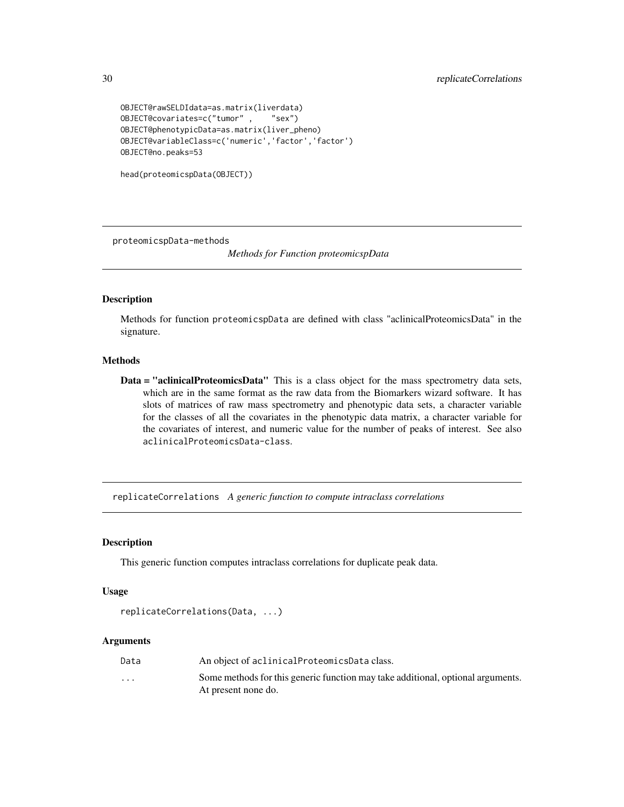```
OBJECT@rawSELDIdata=as.matrix(liverdata)
OBJECT@covariates=c("tumor" , "sex")
OBJECT@phenotypicData=as.matrix(liver_pheno)
OBJECT@variableClass=c('numeric','factor','factor')
OBJECT@no.peaks=53
```

```
head(proteomicspData(OBJECT))
```
proteomicspData-methods

*Methods for Function proteomicspData*

#### Description

Methods for function proteomicspData are defined with class "aclinicalProteomicsData" in the signature.

#### **Methods**

Data = "aclinicalProteomicsData" This is a class object for the mass spectrometry data sets, which are in the same format as the raw data from the Biomarkers wizard software. It has slots of matrices of raw mass spectrometry and phenotypic data sets, a character variable for the classes of all the covariates in the phenotypic data matrix, a character variable for the covariates of interest, and numeric value for the number of peaks of interest. See also aclinicalProteomicsData-class.

replicateCorrelations *A generic function to compute intraclass correlations*

#### Description

This generic function computes intraclass correlations for duplicate peak data.

#### Usage

```
replicateCorrelations(Data, ...)
```
## Arguments

| Data                    | An object of aclinical Proteomics Data class.                                   |
|-------------------------|---------------------------------------------------------------------------------|
| $\cdot$ $\cdot$ $\cdot$ | Some methods for this generic function may take additional, optional arguments. |
|                         | At present none do.                                                             |

<span id="page-29-0"></span>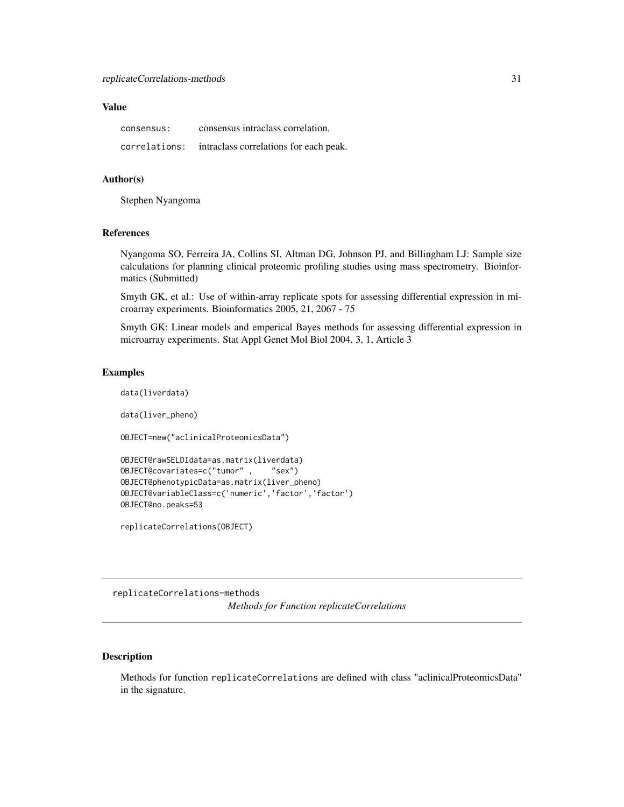## <span id="page-30-0"></span>Value

| consensus:    | consensus intraclass correlation.      |
|---------------|----------------------------------------|
| correlations: | intraclass correlations for each peak. |

#### Author(s)

Stephen Nyangoma

#### References

Nyangoma SO, Ferreira JA, Collins SI, Altman DG, Johnson PJ, and Billingham LJ: Sample size calculations for planning clinical proteomic profiling studies using mass spectrometry. Bioinformatics (Submitted)

Smyth GK, et al.: Use of within-array replicate spots for assessing differential expression in microarray experiments. Bioinformatics 2005, 21, 2067 - 75

Smyth GK: Linear models and emperical Bayes methods for assessing differential expression in microarray experiments. Stat Appl Genet Mol Biol 2004, 3, 1, Article 3

#### Examples

data(liverdata)

data(liver\_pheno)

OBJECT=new("aclinicalProteomicsData")

```
OBJECT@rawSELDIdata=as.matrix(liverdata)
OBJECT@covariates=c("tumor" , "sex")
OBJECT@phenotypicData=as.matrix(liver_pheno)
OBJECT@variableClass=c('numeric','factor','factor')
OBJECT@no.peaks=53
```
replicateCorrelations(OBJECT)

replicateCorrelations-methods

*Methods for Function replicateCorrelations*

## Description

Methods for function replicateCorrelations are defined with class "aclinicalProteomicsData" in the signature.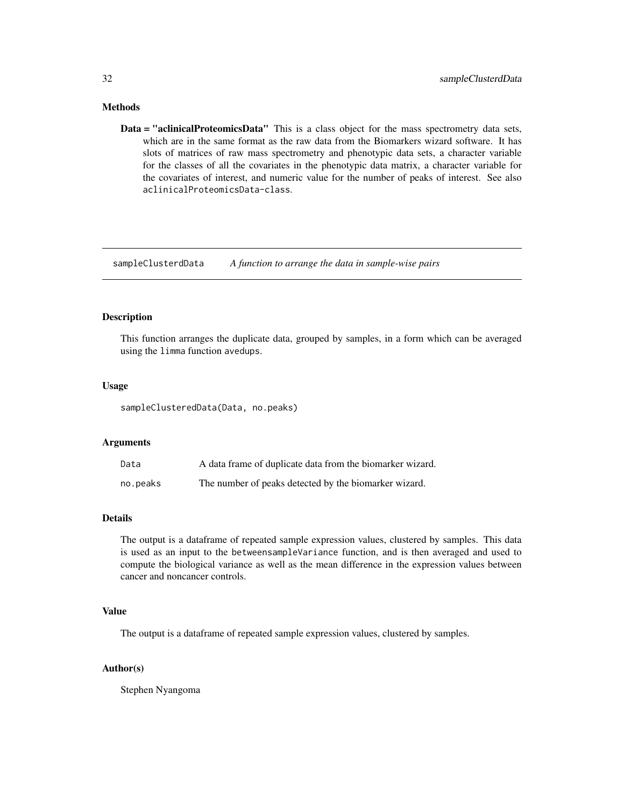## <span id="page-31-0"></span>Methods

Data = "aclinicalProteomicsData" This is a class object for the mass spectrometry data sets, which are in the same format as the raw data from the Biomarkers wizard software. It has slots of matrices of raw mass spectrometry and phenotypic data sets, a character variable for the classes of all the covariates in the phenotypic data matrix, a character variable for the covariates of interest, and numeric value for the number of peaks of interest. See also aclinicalProteomicsData-class.

sampleClusterdData *A function to arrange the data in sample-wise pairs*

## Description

This function arranges the duplicate data, grouped by samples, in a form which can be averaged using the limma function avedups.

## Usage

sampleClusteredData(Data, no.peaks)

## Arguments

| Data     | A data frame of duplicate data from the biomarker wizard. |
|----------|-----------------------------------------------------------|
| no.peaks | The number of peaks detected by the biomarker wizard.     |

## Details

The output is a dataframe of repeated sample expression values, clustered by samples. This data is used as an input to the betweensampleVariance function, and is then averaged and used to compute the biological variance as well as the mean difference in the expression values between cancer and noncancer controls.

## Value

The output is a dataframe of repeated sample expression values, clustered by samples.

## Author(s)

Stephen Nyangoma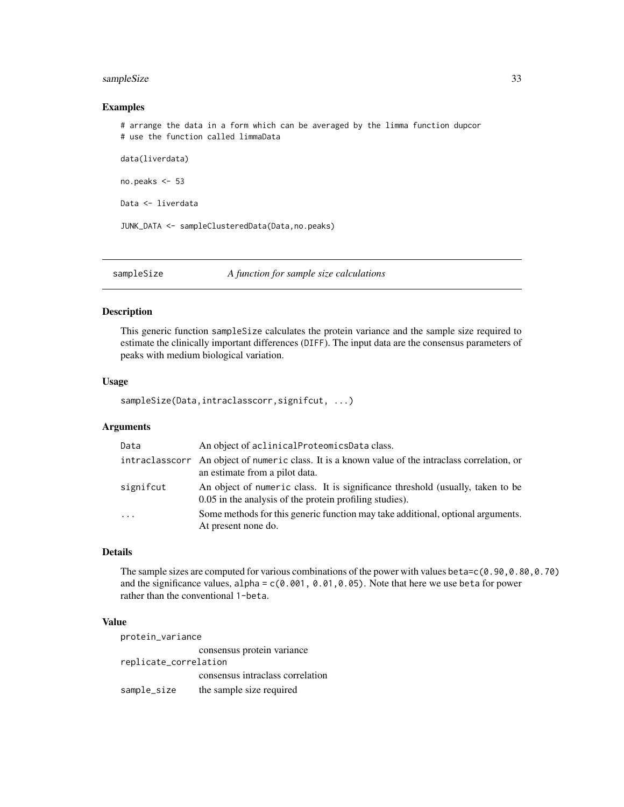## <span id="page-32-0"></span>sampleSize 33

## Examples

# arrange the data in a form which can be averaged by the limma function dupcor # use the function called limmaData

data(liverdata)

no.peaks <- 53

Data <- liverdata

JUNK\_DATA <- sampleClusteredData(Data,no.peaks)

#### sampleSize *A function for sample size calculations*

#### Description

This generic function sampleSize calculates the protein variance and the sample size required to estimate the clinically important differences (DIFF). The input data are the consensus parameters of peaks with medium biological variation.

#### Usage

sampleSize(Data,intraclasscorr,signifcut, ...)

## Arguments

| Data      | An object of aclinical Proteomics Data class.                                                                                             |
|-----------|-------------------------------------------------------------------------------------------------------------------------------------------|
|           | intraclasscorr An object of numeric class. It is a known value of the intraclass correlation, or<br>an estimate from a pilot data.        |
| signifcut | An object of numeric class. It is significance threshold (usually, taken to be<br>0.05 in the analysis of the protein profiling studies). |
| $\cdot$   | Some methods for this generic function may take additional, optional arguments.<br>At present none do.                                    |

## Details

The sample sizes are computed for various combinations of the power with values beta=c(0.90,0.80,0.70) and the significance values, alpha =  $c(0.001, 0.01, 0.05)$ . Note that here we use beta for power rather than the conventional 1-beta.

## Value

protein\_variance consensus protein variance replicate\_correlation consensus intraclass correlation sample\_size the sample size required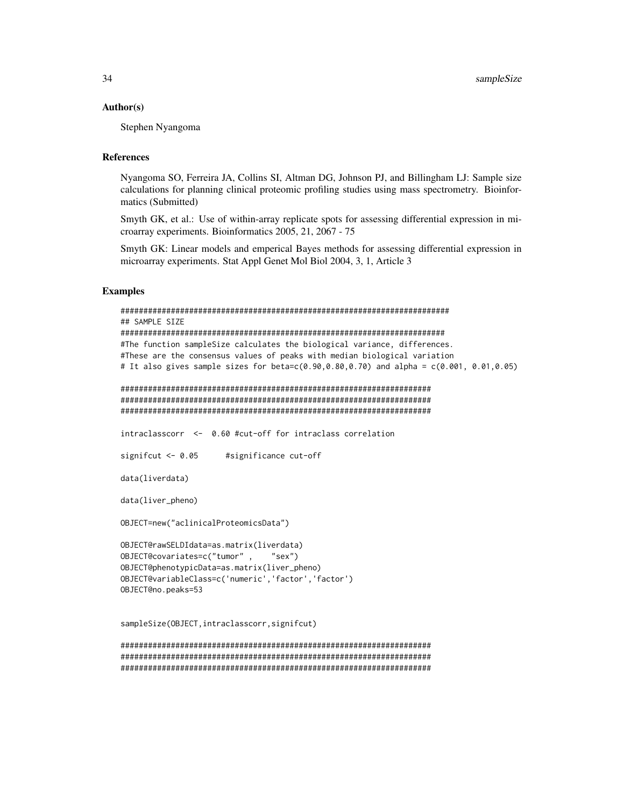#### Author(s)

Stephen Nyangoma

## References

Nyangoma SO, Ferreira JA, Collins SI, Altman DG, Johnson PJ, and Billingham LJ: Sample size calculations for planning clinical proteomic profiling studies using mass spectrometry. Bioinformatics (Submitted)

Smyth GK, et al.: Use of within-array replicate spots for assessing differential expression in microarray experiments. Bioinformatics 2005, 21, 2067 - 75

Smyth GK: Linear models and emperical Bayes methods for assessing differential expression in microarray experiments. Stat Appl Genet Mol Biol 2004, 3, 1, Article 3

## Examples

```
########################################################################
## SAMPLE SIZE
#######################################################################
#The function sampleSize calculates the biological variance, differences.
#These are the consensus values of peaks with median biological variation
# It also gives sample sizes for beta=c(0.90,0.80,0.70) and alpha = c(0.001, 0.01,0.05)
####################################################################
####################################################################
####################################################################
intraclasscorr <- 0.60 #cut-off for intraclass correlation
signifcut <- 0.05 #significance cut-off
data(liverdata)
data(liver_pheno)
OBJECT=new("aclinicalProteomicsData")
OBJECT@rawSELDIdata=as.matrix(liverdata)
OBJECT@covariates=c("tumor" , "sex")
OBJECT@phenotypicData=as.matrix(liver_pheno)
OBJECT@variableClass=c('numeric','factor','factor')
OBJECT@no.peaks=53
sampleSize(OBJECT,intraclasscorr,signifcut)
####################################################################
```
#################################################################### ####################################################################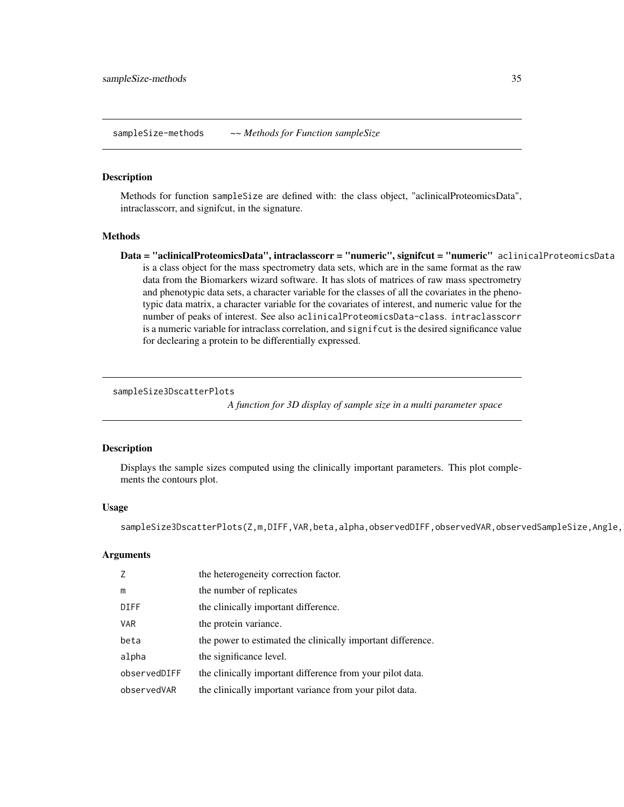<span id="page-34-0"></span>sampleSize-methods *~~ Methods for Function sampleSize*

#### Description

Methods for function sampleSize are defined with: the class object, "aclinicalProteomicsData", intraclasscorr, and signifcut, in the signature.

#### Methods

Data = "aclinicalProteomicsData", intraclasscorr = "numeric", signifcut = "numeric" aclinicalProteomicsData is a class object for the mass spectrometry data sets, which are in the same format as the raw data from the Biomarkers wizard software. It has slots of matrices of raw mass spectrometry and phenotypic data sets, a character variable for the classes of all the covariates in the phenotypic data matrix, a character variable for the covariates of interest, and numeric value for the number of peaks of interest. See also aclinicalProteomicsData-class. intraclasscorr is a numeric variable for intraclass correlation, and significut is the desired significance value for declearing a protein to be differentially expressed.

#### sampleSize3DscatterPlots

*A function for 3D display of sample size in a multi parameter space*

#### Description

Displays the sample sizes computed using the clinically important parameters. This plot complements the contours plot.

#### Usage

sampleSize3DscatterPlots(Z,m,DIFF,VAR,beta,alpha,observedDIFF,observedVAR,observedSampleSize,Angle,

## Arguments

| 7            | the heterogeneity correction factor.                        |
|--------------|-------------------------------------------------------------|
| m            | the number of replicates                                    |
| DIFF         | the clinically important difference.                        |
| <b>VAR</b>   | the protein variance.                                       |
| beta         | the power to estimated the clinically important difference. |
| alpha        | the significance level.                                     |
| observedDIFF | the clinically important difference from your pilot data.   |
| observedVAR  | the clinically important variance from your pilot data.     |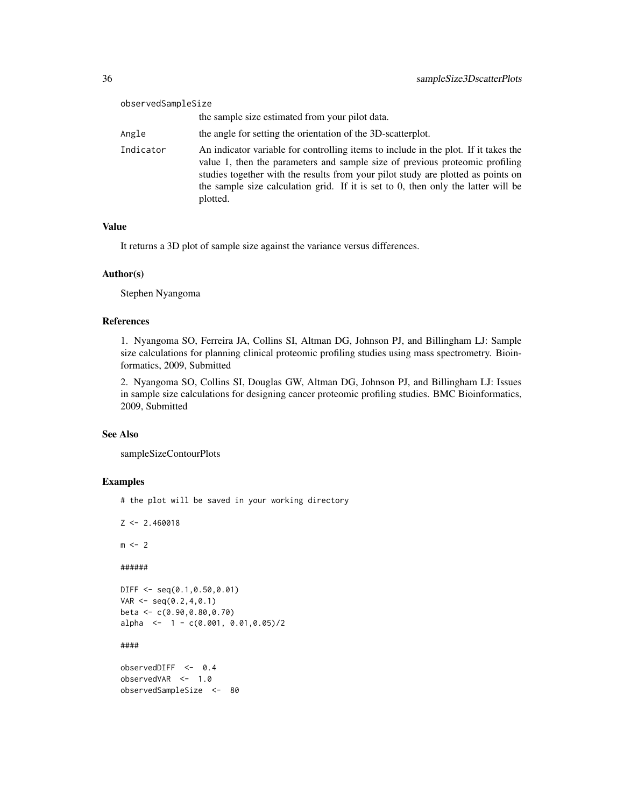| observedSampleSize |                                                                                                                                                                                                                                                                                                                                                          |
|--------------------|----------------------------------------------------------------------------------------------------------------------------------------------------------------------------------------------------------------------------------------------------------------------------------------------------------------------------------------------------------|
|                    | the sample size estimated from your pilot data.                                                                                                                                                                                                                                                                                                          |
| Angle              | the angle for setting the orientation of the 3D-scatterplot.                                                                                                                                                                                                                                                                                             |
| Indicator          | An indicator variable for controlling items to include in the plot. If it takes the<br>value 1, then the parameters and sample size of previous proteomic profiling<br>studies together with the results from your pilot study are plotted as points on<br>the sample size calculation grid. If it is set to 0, then only the latter will be<br>plotted. |

## Value

It returns a 3D plot of sample size against the variance versus differences.

## Author(s)

Stephen Nyangoma

## References

1. Nyangoma SO, Ferreira JA, Collins SI, Altman DG, Johnson PJ, and Billingham LJ: Sample size calculations for planning clinical proteomic profiling studies using mass spectrometry. Bioinformatics, 2009, Submitted

2. Nyangoma SO, Collins SI, Douglas GW, Altman DG, Johnson PJ, and Billingham LJ: Issues in sample size calculations for designing cancer proteomic profiling studies. BMC Bioinformatics, 2009, Submitted

## See Also

sampleSizeContourPlots

## Examples

# the plot will be saved in your working directory

```
Z \leftarrow 2.460018m < - 2######
DIFF <- seq(0.1,0.50,0.01)
VAR < - seq(0.2, 4, 0.1)beta <- c(0.90,0.80,0.70)
alpha \leq -1 - c(0.001, 0.01, 0.05)/2####
observedDIFF <- 0.4
observedVAR <- 1.0
observedSampleSize <- 80
```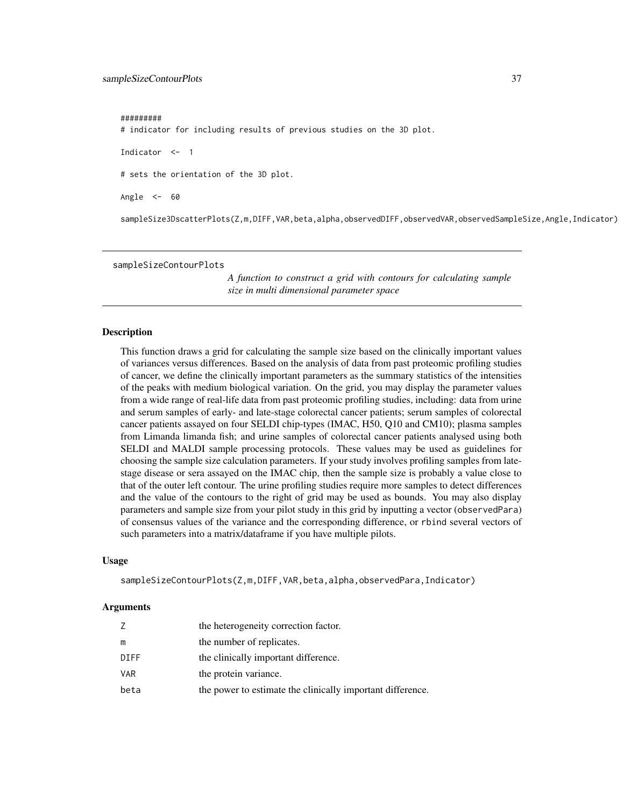#### <span id="page-36-0"></span>#########

# indicator for including results of previous studies on the 3D plot.

Indicator <- 1

# sets the orientation of the 3D plot.

Angle  $<-$  60

sampleSize3DscatterPlots(Z,m,DIFF,VAR,beta,alpha,observedDIFF,observedVAR,observedSampleSize,Angle,Indicator)

sampleSizeContourPlots

*A function to construct a grid with contours for calculating sample size in multi dimensional parameter space*

#### Description

This function draws a grid for calculating the sample size based on the clinically important values of variances versus differences. Based on the analysis of data from past proteomic profiling studies of cancer, we define the clinically important parameters as the summary statistics of the intensities of the peaks with medium biological variation. On the grid, you may display the parameter values from a wide range of real-life data from past proteomic profiling studies, including: data from urine and serum samples of early- and late-stage colorectal cancer patients; serum samples of colorectal cancer patients assayed on four SELDI chip-types (IMAC, H50, Q10 and CM10); plasma samples from Limanda limanda fish; and urine samples of colorectal cancer patients analysed using both SELDI and MALDI sample processing protocols. These values may be used as guidelines for choosing the sample size calculation parameters. If your study involves profiling samples from latestage disease or sera assayed on the IMAC chip, then the sample size is probably a value close to that of the outer left contour. The urine profiling studies require more samples to detect differences and the value of the contours to the right of grid may be used as bounds. You may also display parameters and sample size from your pilot study in this grid by inputting a vector (observedPara) of consensus values of the variance and the corresponding difference, or rbind several vectors of such parameters into a matrix/dataframe if you have multiple pilots.

#### Usage

sampleSizeContourPlots(Z,m,DIFF,VAR,beta,alpha,observedPara,Indicator)

#### Arguments

| 7          | the heterogeneity correction factor.                       |
|------------|------------------------------------------------------------|
| m          | the number of replicates.                                  |
| DIFF       | the clinically important difference.                       |
| <b>VAR</b> | the protein variance.                                      |
| beta       | the power to estimate the clinically important difference. |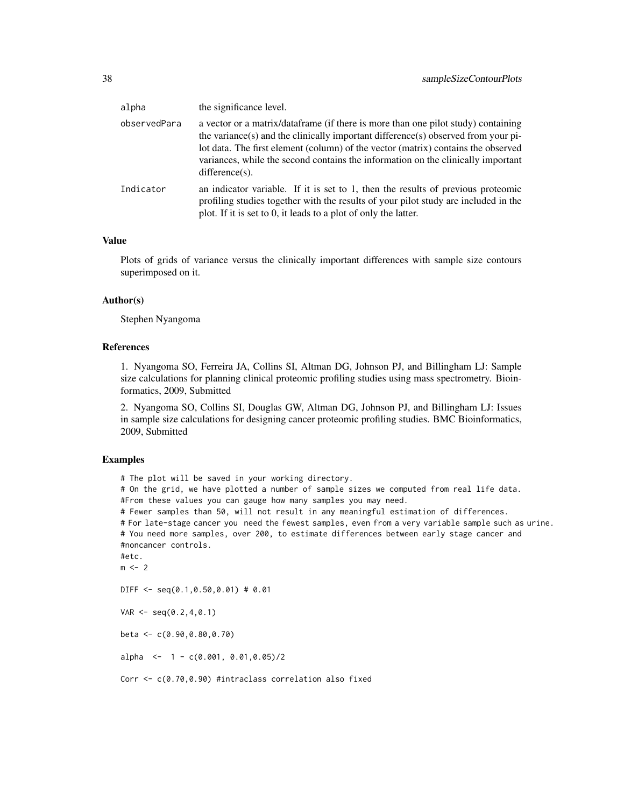| alpha        | the significance level.                                                                                                                                                                                                                                                                                                                                              |
|--------------|----------------------------------------------------------------------------------------------------------------------------------------------------------------------------------------------------------------------------------------------------------------------------------------------------------------------------------------------------------------------|
| observedPara | a vector or a matrix/dataframe (if there is more than one pilot study) containing<br>the variance(s) and the clinically important difference(s) observed from your pi-<br>lot data. The first element (column) of the vector (matrix) contains the observed<br>variances, while the second contains the information on the clinically important<br>$difference(s)$ . |
| Indicator    | an indicator variable. If it is set to 1, then the results of previous proteomic<br>profiling studies together with the results of your pilot study are included in the<br>plot. If it is set to 0, it leads to a plot of only the latter.                                                                                                                           |

## Value

Plots of grids of variance versus the clinically important differences with sample size contours superimposed on it.

## Author(s)

Stephen Nyangoma

## References

1. Nyangoma SO, Ferreira JA, Collins SI, Altman DG, Johnson PJ, and Billingham LJ: Sample size calculations for planning clinical proteomic profiling studies using mass spectrometry. Bioinformatics, 2009, Submitted

2. Nyangoma SO, Collins SI, Douglas GW, Altman DG, Johnson PJ, and Billingham LJ: Issues in sample size calculations for designing cancer proteomic profiling studies. BMC Bioinformatics, 2009, Submitted

#### Examples

```
# The plot will be saved in your working directory.
# On the grid, we have plotted a number of sample sizes we computed from real life data.
#From these values you can gauge how many samples you may need.
# Fewer samples than 50, will not result in any meaningful estimation of differences.
# For late-stage cancer you need the fewest samples, even from a very variable sample such as urine.
# You need more samples, over 200, to estimate differences between early stage cancer and
#noncancer controls.
#etc.
m < - 2DIFF <- seq(0.1,0.50,0.01) # 0.01
VAR < -seq(0.2, 4, 0.1)beta <- c(0.90,0.80,0.70)
alpha \leq -1 - c(0.001, 0.01, 0.05)/2
```
Corr <- c(0.70,0.90) #intraclass correlation also fixed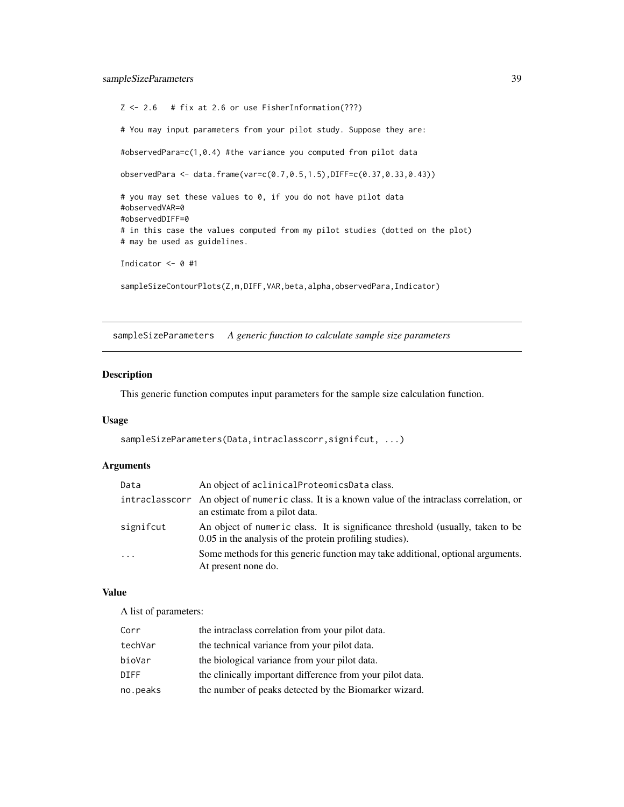```
Z \le -2.6 # fix at 2.6 or use FisherInformation(???)
# You may input parameters from your pilot study. Suppose they are:
#observedPara=c(1,0.4) #the variance you computed from pilot data
observedPara <- data.frame(var=c(0.7,0.5,1.5),DIFF=c(0.37,0.33,0.43))
# you may set these values to 0, if you do not have pilot data
#observedVAR=0
#observedDIFF=0
# in this case the values computed from my pilot studies (dotted on the plot)
# may be used as guidelines.
Indicator <- 0 #1
sampleSizeContourPlots(Z,m,DIFF, VAR, beta, alpha, observedPara, Indicator)
```
sampleSizeParameters *A generic function to calculate sample size parameters*

## Description

This generic function computes input parameters for the sample size calculation function.

## Usage

```
sampleSizeParameters(Data,intraclasscorr,signifcut, ...)
```
## Arguments

| Data      | An object of aclinical Proteomics Data class.                                                                                             |
|-----------|-------------------------------------------------------------------------------------------------------------------------------------------|
|           | intraclasscorr An object of numeric class. It is a known value of the intraclass correlation, or<br>an estimate from a pilot data.        |
| signifcut | An object of numeric class. It is significance threshold (usually, taken to be<br>0.05 in the analysis of the protein profiling studies). |
| $\ddots$  | Some methods for this generic function may take additional, optional arguments.<br>At present none do.                                    |

## Value

A list of parameters:

| Corr        | the intraclass correlation from your pilot data.          |
|-------------|-----------------------------------------------------------|
| techVar     | the technical variance from your pilot data.              |
| bioVar      | the biological variance from your pilot data.             |
| <b>DIFF</b> | the clinically important difference from your pilot data. |
| no.peaks    | the number of peaks detected by the Biomarker wizard.     |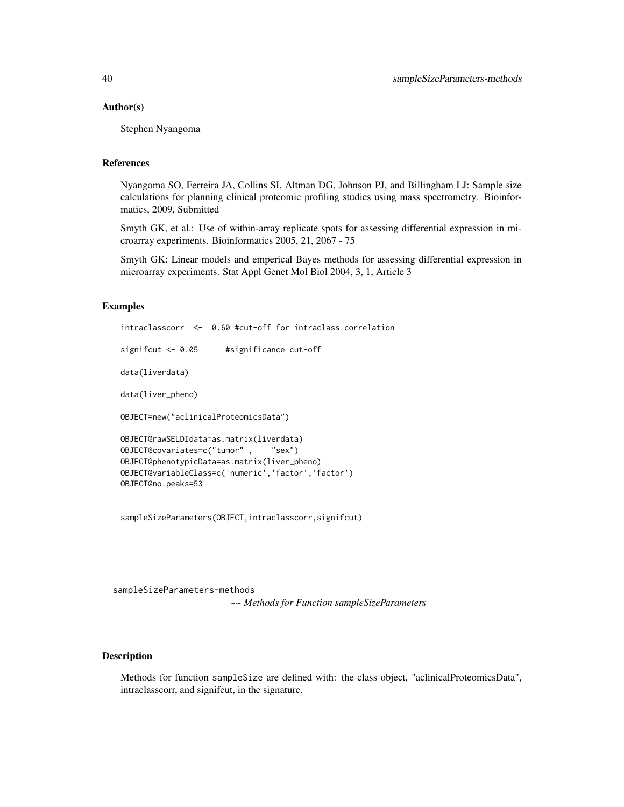#### <span id="page-39-0"></span>Author(s)

Stephen Nyangoma

#### References

Nyangoma SO, Ferreira JA, Collins SI, Altman DG, Johnson PJ, and Billingham LJ: Sample size calculations for planning clinical proteomic profiling studies using mass spectrometry. Bioinformatics, 2009, Submitted

Smyth GK, et al.: Use of within-array replicate spots for assessing differential expression in microarray experiments. Bioinformatics 2005, 21, 2067 - 75

Smyth GK: Linear models and emperical Bayes methods for assessing differential expression in microarray experiments. Stat Appl Genet Mol Biol 2004, 3, 1, Article 3

## Examples

```
intraclasscorr <- 0.60 #cut-off for intraclass correlation
signifcut <- 0.05 #significance cut-off
data(liverdata)
data(liver_pheno)
OBJECT=new("aclinicalProteomicsData")
OBJECT@rawSELDIdata=as.matrix(liverdata)<br>OBJECT@covariates=c("tumor", "sex")
OBJECT@covariates=c("tumor",
OBJECT@phenotypicData=as.matrix(liver_pheno)
OBJECT@variableClass=c('numeric','factor','factor')
OBJECT@no.peaks=53
```
sampleSizeParameters(OBJECT,intraclasscorr,signifcut)

sampleSizeParameters-methods *~~ Methods for Function sampleSizeParameters*

## **Description**

Methods for function sampleSize are defined with: the class object, "aclinicalProteomicsData", intraclasscorr, and signifcut, in the signature.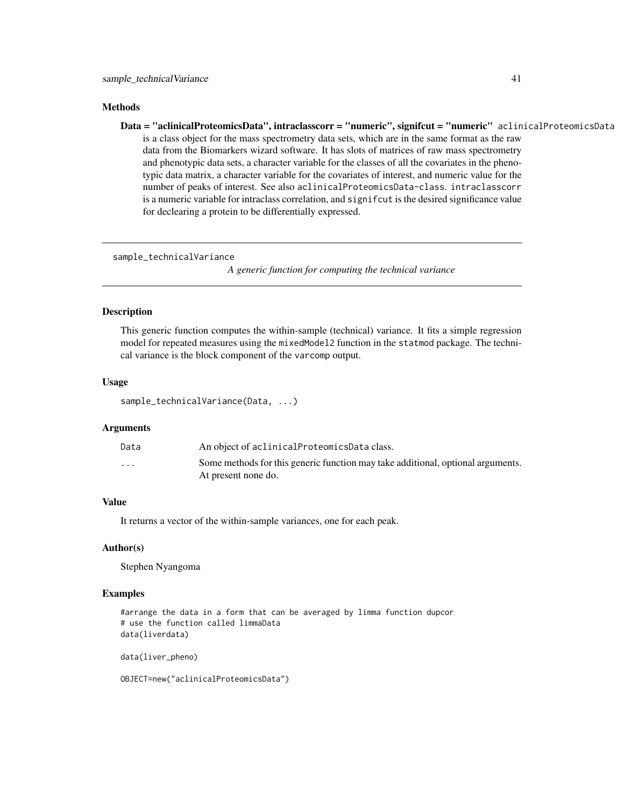#### <span id="page-40-0"></span>**Methods**

Data = "aclinicalProteomicsData", intraclasscorr = "numeric", signifcut = "numeric" aclinicalProteomicsData is a class object for the mass spectrometry data sets, which are in the same format as the raw data from the Biomarkers wizard software. It has slots of matrices of raw mass spectrometry and phenotypic data sets, a character variable for the classes of all the covariates in the phenotypic data matrix, a character variable for the covariates of interest, and numeric value for the number of peaks of interest. See also aclinicalProteomicsData-class. intraclasscorr is a numeric variable for intraclass correlation, and signifcut is the desired significance value for declearing a protein to be differentially expressed.

sample\_technicalVariance

*A generic function for computing the technical variance*

## Description

This generic function computes the within-sample (technical) variance. It fits a simple regression model for repeated measures using the mixedModel2 function in the statmod package. The technical variance is the block component of the varcomp output.

#### Usage

```
sample_technicalVariance(Data, ...)
```
## Arguments

| Data                 | An object of aclinical Proteomics Data class.                                                          |
|----------------------|--------------------------------------------------------------------------------------------------------|
| $\ddot{\phantom{0}}$ | Some methods for this generic function may take additional, optional arguments.<br>At present none do. |

## Value

It returns a vector of the within-sample variances, one for each peak.

#### Author(s)

Stephen Nyangoma

## Examples

```
#arrange the data in a form that can be averaged by limma function dupcor
# use the function called limmaData
data(liverdata)
```
data(liver\_pheno)

OBJECT=new("aclinicalProteomicsData")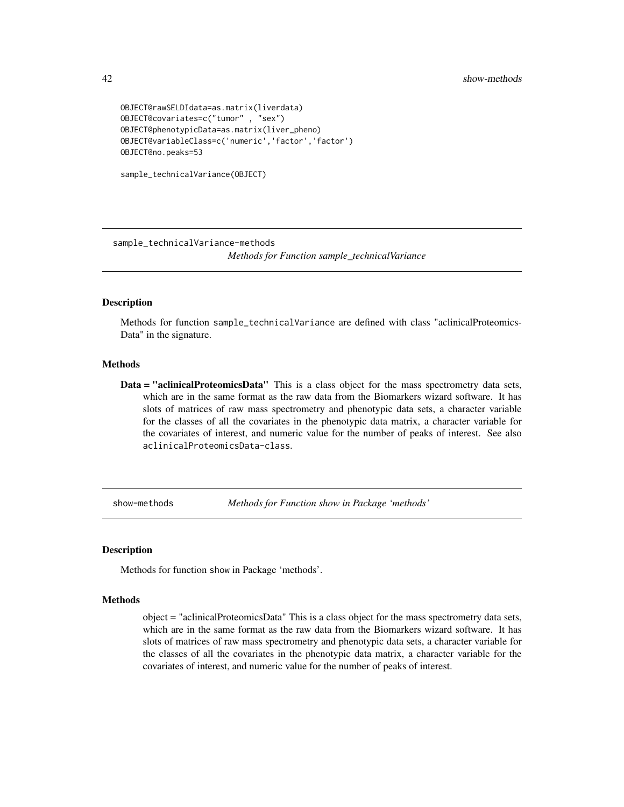```
OBJECT@rawSELDIdata=as.matrix(liverdata)
OBJECT@covariates=c("tumor" , "sex")
OBJECT@phenotypicData=as.matrix(liver_pheno)
OBJECT@variableClass=c('numeric','factor','factor')
OBJECT@no.peaks=53
```

```
sample_technicalVariance(OBJECT)
```
sample\_technicalVariance-methods

*Methods for Function sample\_technicalVariance*

## **Description**

Methods for function sample\_technicalVariance are defined with class "aclinicalProteomics-Data" in the signature.

## **Methods**

Data = "aclinicalProteomicsData" This is a class object for the mass spectrometry data sets, which are in the same format as the raw data from the Biomarkers wizard software. It has slots of matrices of raw mass spectrometry and phenotypic data sets, a character variable for the classes of all the covariates in the phenotypic data matrix, a character variable for the covariates of interest, and numeric value for the number of peaks of interest. See also aclinicalProteomicsData-class.

show-methods *Methods for Function show in Package 'methods'*

#### Description

Methods for function show in Package 'methods'.

#### Methods

object = "aclinicalProteomicsData" This is a class object for the mass spectrometry data sets, which are in the same format as the raw data from the Biomarkers wizard software. It has slots of matrices of raw mass spectrometry and phenotypic data sets, a character variable for the classes of all the covariates in the phenotypic data matrix, a character variable for the covariates of interest, and numeric value for the number of peaks of interest.

<span id="page-41-0"></span>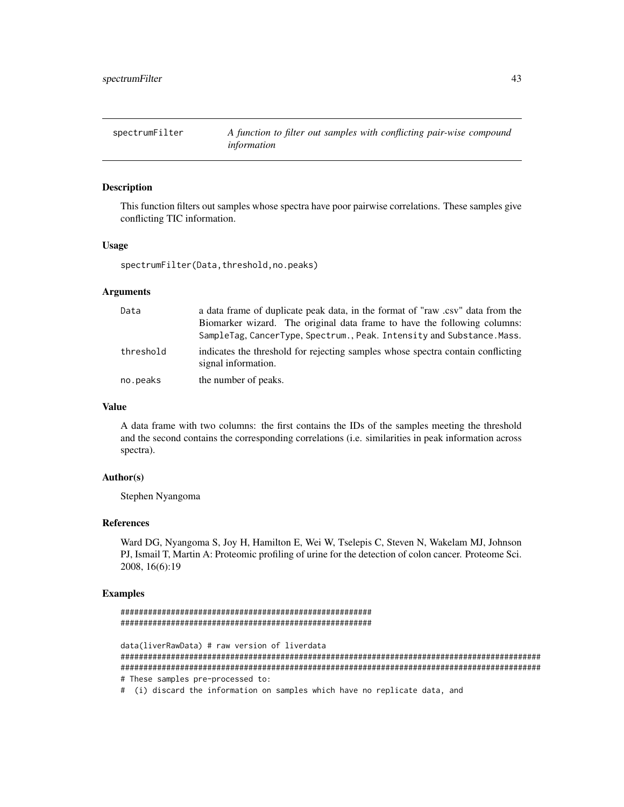<span id="page-42-0"></span>spectrumFilter *A function to filter out samples with conflicting pair-wise compound information*

#### Description

This function filters out samples whose spectra have poor pairwise correlations. These samples give conflicting TIC information.

## Usage

spectrumFilter(Data,threshold,no.peaks)

#### Arguments

| Data      | a data frame of duplicate peak data, in the format of "raw .csv" data from the                         |
|-----------|--------------------------------------------------------------------------------------------------------|
|           | Biomarker wizard. The original data frame to have the following columns:                               |
|           | SampleTag, CancerType, Spectrum., Peak. Intensity and Substance. Mass.                                 |
| threshold | indicates the threshold for rejecting samples whose spectra contain conflicting<br>signal information. |
| no.peaks  | the number of peaks.                                                                                   |

## Value

A data frame with two columns: the first contains the IDs of the samples meeting the threshold and the second contains the corresponding correlations (i.e. similarities in peak information across spectra).

#### Author(s)

Stephen Nyangoma

## References

Ward DG, Nyangoma S, Joy H, Hamilton E, Wei W, Tselepis C, Steven N, Wakelam MJ, Johnson PJ, Ismail T, Martin A: Proteomic profiling of urine for the detection of colon cancer. Proteome Sci. 2008, 16(6):19

## Examples

```
#######################################################
#######################################################
data(liverRawData) # raw version of liverdata
############################################################################################
############################################################################################
# These samples pre-processed to:
```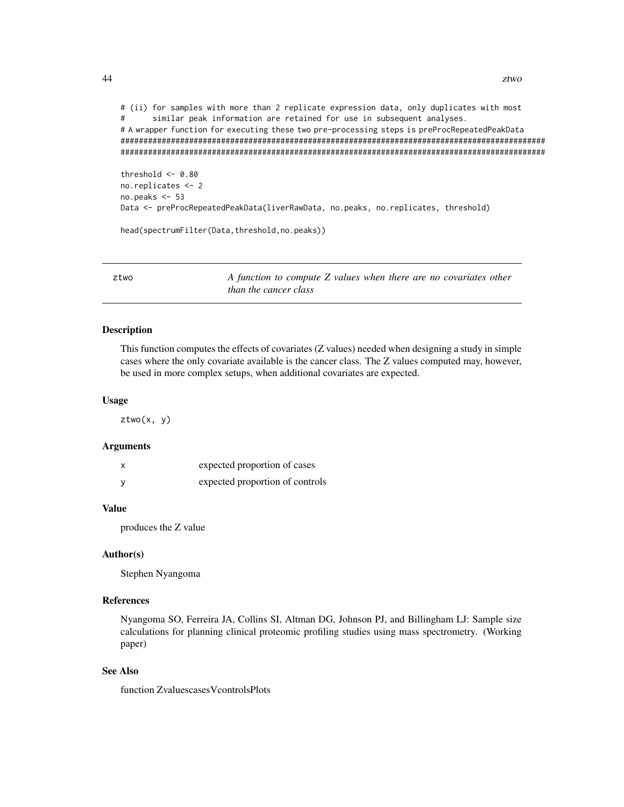```
# (ii) for samples with more than 2 replicate expression data, only duplicates with most
# similar peak information are retained for use in subsequent analyses.
# A wrapper function for executing these two pre-processing steps is preProcRepeatedPeakData
#############################################################################################
#############################################################################################
threshold <- 0.80
```

```
no.replicates <- 2
no.peaks <- 53
Data <- preProcRepeatedPeakData(liverRawData, no.peaks, no.replicates, threshold)
```
head(spectrumFilter(Data,threshold,no.peaks))

ztwo *A function to compute Z values when there are no covariates other than the cancer class*

## **Description**

This function computes the effects of covariates (Z values) needed when designing a study in simple cases where the only covariate available is the cancer class. The Z values computed may, however, be used in more complex setups, when additional covariates are expected.

#### Usage

ztwo(x, y)

#### Arguments

| expected proportion of cases    |
|---------------------------------|
| expected proportion of controls |

#### Value

produces the Z value

## Author(s)

Stephen Nyangoma

## References

Nyangoma SO, Ferreira JA, Collins SI, Altman DG, Johnson PJ, and Billingham LJ: Sample size calculations for planning clinical proteomic profiling studies using mass spectrometry. (Working paper)

## See Also

function ZvaluescasesVcontrolsPlots

<span id="page-43-0"></span>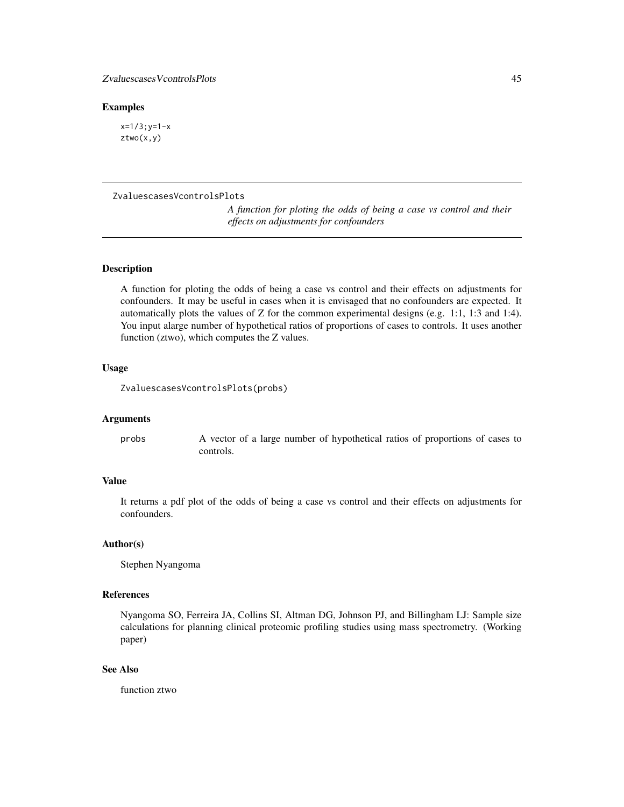#### <span id="page-44-0"></span>Examples

 $x=1/3$ ;  $y=1-x$ ztwo(x,y)

### ZvaluescasesVcontrolsPlots

*A function for ploting the odds of being a case vs control and their effects on adjustments for confounders*

## **Description**

A function for ploting the odds of being a case vs control and their effects on adjustments for confounders. It may be useful in cases when it is envisaged that no confounders are expected. It automatically plots the values of Z for the common experimental designs (e.g. 1:1, 1:3 and 1:4). You input alarge number of hypothetical ratios of proportions of cases to controls. It uses another function (ztwo), which computes the Z values.

## Usage

ZvaluescasesVcontrolsPlots(probs)

#### Arguments

probs A vector of a large number of hypothetical ratios of proportions of cases to controls.

## Value

It returns a pdf plot of the odds of being a case vs control and their effects on adjustments for confounders.

## Author(s)

Stephen Nyangoma

## References

Nyangoma SO, Ferreira JA, Collins SI, Altman DG, Johnson PJ, and Billingham LJ: Sample size calculations for planning clinical proteomic profiling studies using mass spectrometry. (Working paper)

#### See Also

function ztwo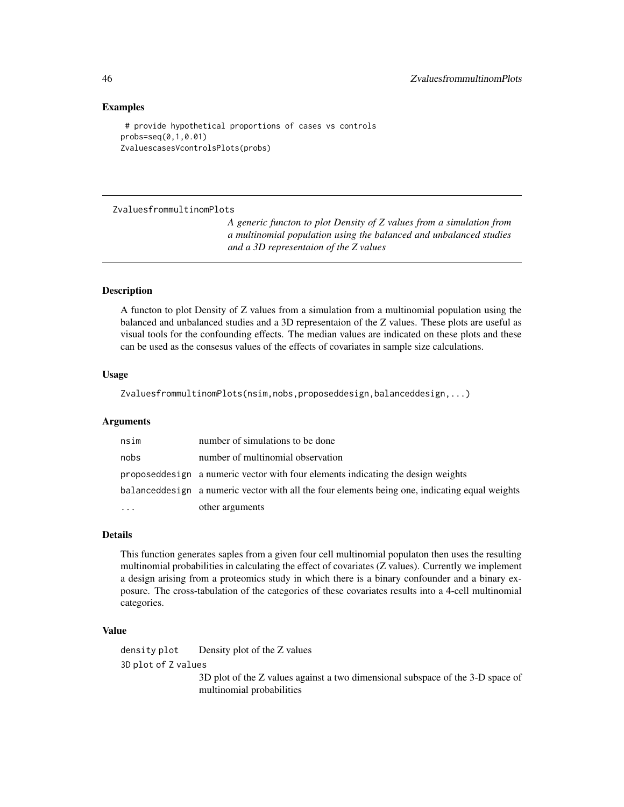## Examples

# provide hypothetical proportions of cases vs controls probs=seq(0,1,0.01) ZvaluescasesVcontrolsPlots(probs)

ZvaluesfrommultinomPlots

*A generic functon to plot Density of Z values from a simulation from a multinomial population using the balanced and unbalanced studies and a 3D representaion of the Z values*

## Description

A functon to plot Density of Z values from a simulation from a multinomial population using the balanced and unbalanced studies and a 3D representaion of the Z values. These plots are useful as visual tools for the confounding effects. The median values are indicated on these plots and these can be used as the consesus values of the effects of covariates in sample size calculations.

## Usage

ZvaluesfrommultinomPlots(nsim,nobs,proposeddesign,balanceddesign,...)

#### Arguments

| nsim     | number of simulations to be done                                                               |
|----------|------------------------------------------------------------------------------------------------|
| nobs     | number of multinomial observation                                                              |
|          | proposed design a numeric vector with four elements indicating the design weights              |
|          | balanceddesign a numeric vector with all the four elements being one, indicating equal weights |
| $\cdots$ | other arguments                                                                                |

#### Details

This function generates saples from a given four cell multinomial populaton then uses the resulting multinomial probabilities in calculating the effect of covariates (Z values). Currently we implement a design arising from a proteomics study in which there is a binary confounder and a binary exposure. The cross-tabulation of the categories of these covariates results into a 4-cell multinomial categories.

#### Value

density plot Density plot of the Z values 3D plot of Z values 3D plot of the Z values against a two dimensional subspace of the 3-D space of

multinomial probabilities

<span id="page-45-0"></span>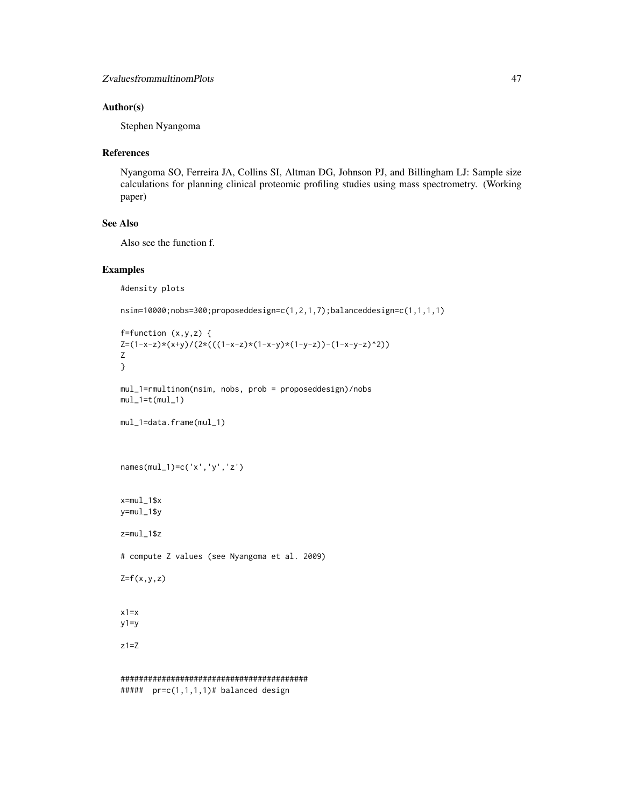## Author(s)

Stephen Nyangoma

#### References

Nyangoma SO, Ferreira JA, Collins SI, Altman DG, Johnson PJ, and Billingham LJ: Sample size calculations for planning clinical proteomic profiling studies using mass spectrometry. (Working paper)

## See Also

Also see the function f.

## Examples

```
#density plots
```

```
nsim=10000;nobs=300;proposeddesign=c(1,2,1,7);balanceddesign=c(1,1,1,1)
```

```
f=function (x,y,z) {
Z=(1-x-z)*(x+y)/(2*((1-x-z)*(1-x-y)*(1-y-z))-(1-x-y-z)^2)Z
}
```

```
mul_1=rmultinom(nsim, nobs, prob = proposeddesign)/nobs
mul_1=t(mul_1)
```

```
mul_1=data.frame(mul_1)
```

```
names(mul_1)=c('x','y','z')
```

```
x=mul_1$x
y=mul_1$y
```
z=mul\_1\$z # compute Z values (see Nyangoma et al. 2009)  $Z=f(x,y,z)$  $x1=x$ 

 $y1=y$ 

z1=Z

```
#########################################
##### pr=c(1,1,1,1)# balanced design
```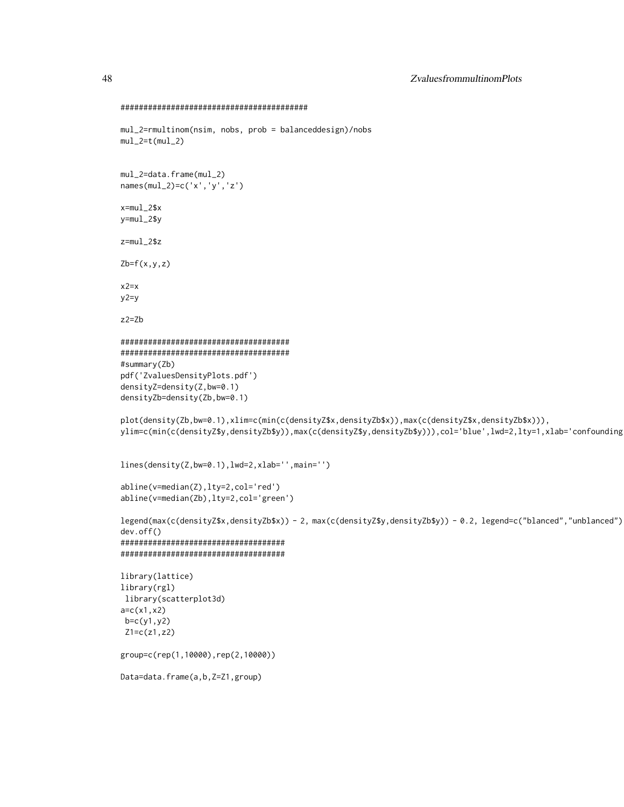```
#########################################
mul_2=rmultinom(nsim, nobs, prob = balanceddesign)/nobs
mul_2=t(mul_2)mul_2=data.frame(mul_2)
names(mul_2)=c('x','y','z')
x=mul_2$x
y=mul_2$y
z=mul_2$z
Zb=f(x,y,z)x2=xy2=y
z2=Zb
#####################################
#####################################
#summary(Zb)
pdf('ZvaluesDensityPlots.pdf')
densityZ=density(Z,bw=0.1)
densityZb=density(Zb,bw=0.1)
plot(density(Zb,bw=0.1),xlim=c(min(c(densityZ$x,densityZb$x)),max(c(densityZ$x,densityZb$x))),
ylim=c(min(c(densityZ$y,densityZb$y)),max(c(densityZ$y,densityZb$y))),col='blue',lwd=2,lty=1,xlab='confounding
lines(density(Z,bw=0.1),lwd=2,xlab='',main='')
abline(v=median(Z),lty=2,col='red')
abline(v=median(Zb),lty=2,col='green')
legend(max(c(densityZ$x,densityZb$x)) - 2, max(c(densityZ$y,densityZb$y)) - 0.2, legend=c("blanced","unblanced")
dev.off()
####################################
####################################
library(lattice)
library(rgl)
library(scatterplot3d)
a=c(x1,x2)
b=c(y1,y2)
Z1=c(z1,z2)
group=c(rep(1,10000),rep(2,10000))
Data=data.frame(a,b,Z=Z1,group)
```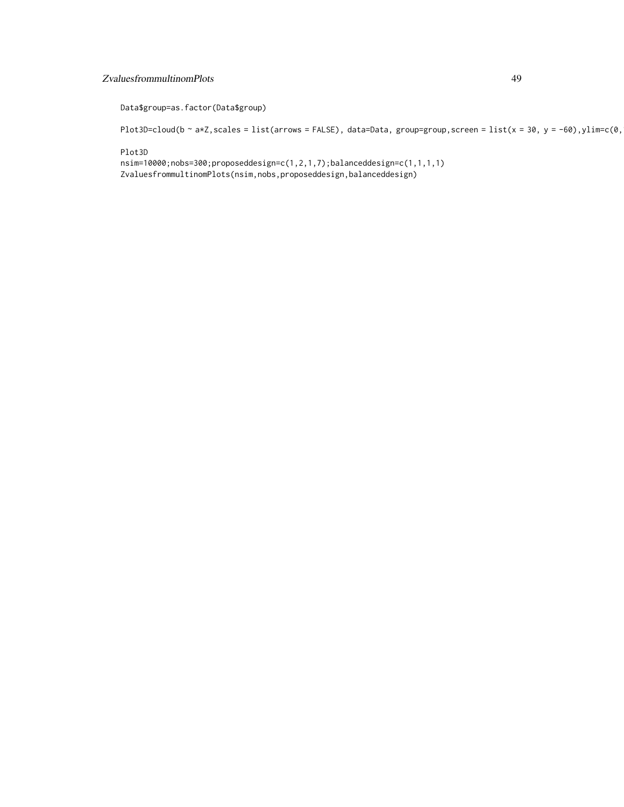## ZvaluesfrommultinomPlots 49

Data\$group=as.factor(Data\$group)

Plot3D=cloud(b ~ a\*Z, scales = list(arrows = FALSE), data=Data, group=group, screen = list(x = 30, y = -60),ylim=c(0,

Plot3D

nsim=10000;nobs=300;proposeddesign=c(1,2,1,7);balanceddesign=c(1,1,1,1) ZvaluesfrommultinomPlots(nsim,nobs,proposeddesign,balanceddesign)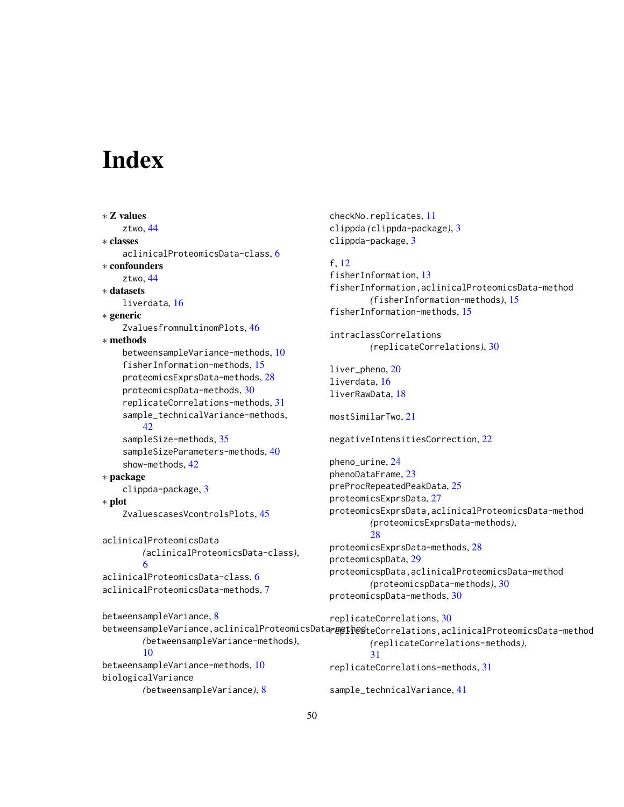# <span id="page-49-0"></span>**Index**

```
∗ Z values
    ztwo, 44
∗ classes
    aclinicalProteomicsData-class, 6
∗ confounders
    44∗ datasets
    liverdata, 16
∗ generic
    ZvaluesfrommultinomPlots, 46
∗ methods
    betweensampleVariance-methods, 10
    fisherInformation-methods, 15
    proteomicsExprsData-methods, 28
    proteomicspData-methods, 30
    replicateCorrelations-methods, 31
    sample_technicalVariance-methods,
        42
    sampleSize-methods, 35
    sampleSizeParameters-methods, 40
    show-methods, 42
∗ package
    clippda-package, 3
∗ plot
    ZvaluescasesVcontrolsPlots, 45
aclinicalProteomicsData
        (aclinicalProteomicsData-class),
        6
aclinicalProteomicsData-class, 6
aclinicalProteomicsData-methods, 7
betweensampleVariance, 8
        (betweensampleVariance-methods),
        10
betweensampleVariance-methods, 10
biologicalVariance
```
checkNo.replicates, [11](#page-10-0) clippda *(*clippda-package*)*, [3](#page-2-0) clippda-package, [3](#page-2-0)

## f, [12](#page-11-0)

fisherInformation, [13](#page-12-0) fisherInformation,aclinicalProteomicsData-method *(*fisherInformation-methods*)*, [15](#page-14-0) fisherInformation-methods, [15](#page-14-0)

intraclassCorrelations *(*replicateCorrelations*)*, [30](#page-29-0)

liver\_pheno, [20](#page-19-0) liverdata, [16](#page-15-0) liverRawData, [18](#page-17-0)

mostSimilarTwo, [21](#page-20-0)

negativeIntensitiesCorrection, [22](#page-21-0)

pheno\_urine, [24](#page-23-0) phenoDataFrame, [23](#page-22-0) preProcRepeatedPeakData, [25](#page-24-0) proteomicsExprsData, [27](#page-26-0) proteomicsExprsData,aclinicalProteomicsData-method *(*proteomicsExprsData-methods*)*, [28](#page-27-0) proteomicsExprsData-methods, [28](#page-27-0) proteomicspData, [29](#page-28-0) proteomicspData,aclinicalProteomicsData-method

*(*proteomicspData-methods*)*, [30](#page-29-0) proteomicspData-methods, [30](#page-29-0)

```
betweensampleVariance,aclinicalProteomicsData<del>r</del>meth@ateCorrelations,aclinicalProteomicsData-method
        (betweensampleVariance), 8
                                                replicateCorrelations, 30
                                                         (replicateCorrelations-methods),
                                                         31
                                                replicateCorrelations-methods, 31
                                                sample_technicalVariance, 41
```